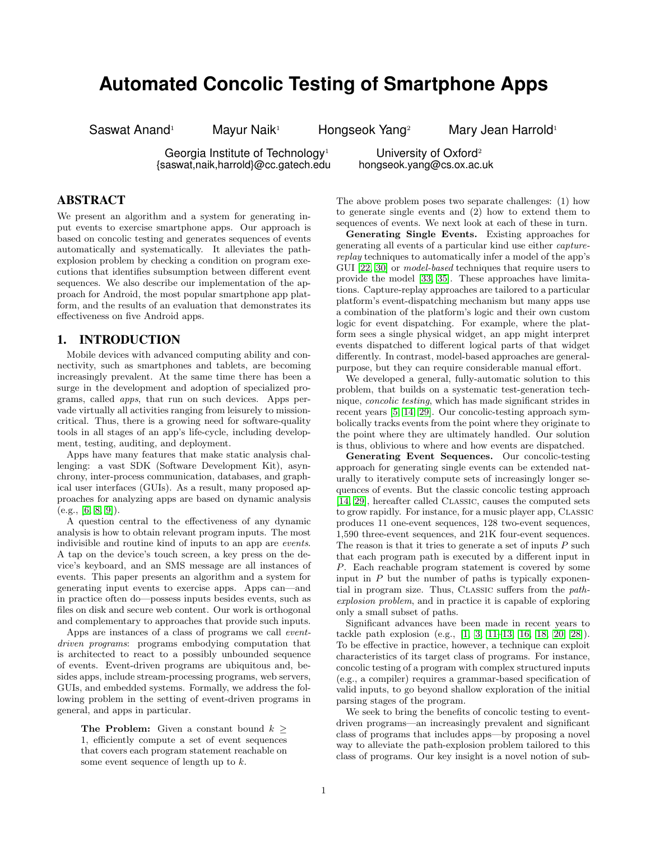# **Automated Concolic Testing of Smartphone Apps**

Saswat Anand<sup>1</sup> Mayur Naik<sup>1</sup> Hongseok Yang<sup>2</sup> Mary Jean Harrold<sup>1</sup>

Georgia Institute of Technology<sup>1</sup> University of Oxford<sup>2</sup><br>aswat,naik,harrold}@cc.gatech.edu hongseok.yang@cs.ox.ac.uk  ${saswat, naik, harrold}@cc.gatech.edu$ 

# ABSTRACT

We present an algorithm and a system for generating input events to exercise smartphone apps. Our approach is based on concolic testing and generates sequences of events automatically and systematically. It alleviates the pathexplosion problem by checking a condition on program executions that identifies subsumption between different event sequences. We also describe our implementation of the approach for Android, the most popular smartphone app platform, and the results of an evaluation that demonstrates its effectiveness on five Android apps.

## 1. INTRODUCTION

Mobile devices with advanced computing ability and connectivity, such as smartphones and tablets, are becoming increasingly prevalent. At the same time there has been a surge in the development and adoption of specialized programs, called apps, that run on such devices. Apps pervade virtually all activities ranging from leisurely to missioncritical. Thus, there is a growing need for software-quality tools in all stages of an app's life-cycle, including development, testing, auditing, and deployment.

Apps have many features that make static analysis challenging: a vast SDK (Software Development Kit), asynchrony, inter-process communication, databases, and graphical user interfaces (GUIs). As a result, many proposed approaches for analyzing apps are based on dynamic analysis  $(e.g., [6, 8, 9]).$  $(e.g., [6, 8, 9]).$  $(e.g., [6, 8, 9]).$  $(e.g., [6, 8, 9]).$  $(e.g., [6, 8, 9]).$ 

A question central to the effectiveness of any dynamic analysis is how to obtain relevant program inputs. The most indivisible and routine kind of inputs to an app are events. A tap on the device's touch screen, a key press on the device's keyboard, and an SMS message are all instances of events. This paper presents an algorithm and a system for generating input events to exercise apps. Apps can—and in practice often do—possess inputs besides events, such as files on disk and secure web content. Our work is orthogonal and complementary to approaches that provide such inputs.

Apps are instances of a class of programs we call eventdriven programs: programs embodying computation that is architected to react to a possibly unbounded sequence of events. Event-driven programs are ubiquitous and, besides apps, include stream-processing programs, web servers, GUIs, and embedded systems. Formally, we address the following problem in the setting of event-driven programs in general, and apps in particular.

The Problem: Given a constant bound  $k >$ 1, efficiently compute a set of event sequences that covers each program statement reachable on some event sequence of length up to k.

The above problem poses two separate challenges: (1) how to generate single events and (2) how to extend them to sequences of events. We next look at each of these in turn.

Generating Single Events. Existing approaches for generating all events of a particular kind use either capturereplay techniques to automatically infer a model of the app's GUI [\[22,](#page-10-3) [30\]](#page-10-4) or model-based techniques that require users to provide the model [\[33,](#page-10-5) [35\]](#page-10-6). These approaches have limitations. Capture-replay approaches are tailored to a particular platform's event-dispatching mechanism but many apps use a combination of the platform's logic and their own custom logic for event dispatching. For example, where the platform sees a single physical widget, an app might interpret events dispatched to different logical parts of that widget differently. In contrast, model-based approaches are generalpurpose, but they can require considerable manual effort.

We developed a general, fully-automatic solution to this problem, that builds on a systematic test-generation technique, concolic testing, which has made significant strides in recent years [\[5,](#page-10-7) [14,](#page-10-8) [29\]](#page-10-9). Our concolic-testing approach symbolically tracks events from the point where they originate to the point where they are ultimately handled. Our solution is thus, oblivious to where and how events are dispatched.

Generating Event Sequences. Our concolic-testing approach for generating single events can be extended naturally to iteratively compute sets of increasingly longer sequences of events. But the classic concolic testing approach [\[14,](#page-10-8) [29\]](#page-10-9), hereafter called Classic, causes the computed sets to grow rapidly. For instance, for a music player app, Classic produces 11 one-event sequences, 128 two-event sequences, 1,590 three-event sequences, and 21K four-event sequences. The reason is that it tries to generate a set of inputs  $P$  such that each program path is executed by a different input in P. Each reachable program statement is covered by some input in  $P$  but the number of paths is typically exponential in program size. Thus, Classic suffers from the pathexplosion problem, and in practice it is capable of exploring only a small subset of paths.

Significant advances have been made in recent years to tackle path explosion (e.g., [\[1,](#page-10-10) [3,](#page-10-11) [11–](#page-10-12)[13,](#page-10-13) [16,](#page-10-14) [18,](#page-10-15) [20,](#page-10-16) [28\]](#page-10-17)). To be effective in practice, however, a technique can exploit characteristics of its target class of programs. For instance, concolic testing of a program with complex structured inputs (e.g., a compiler) requires a grammar-based specification of valid inputs, to go beyond shallow exploration of the initial parsing stages of the program.

We seek to bring the benefits of concolic testing to eventdriven programs—an increasingly prevalent and significant class of programs that includes apps—by proposing a novel way to alleviate the path-explosion problem tailored to this class of programs. Our key insight is a novel notion of sub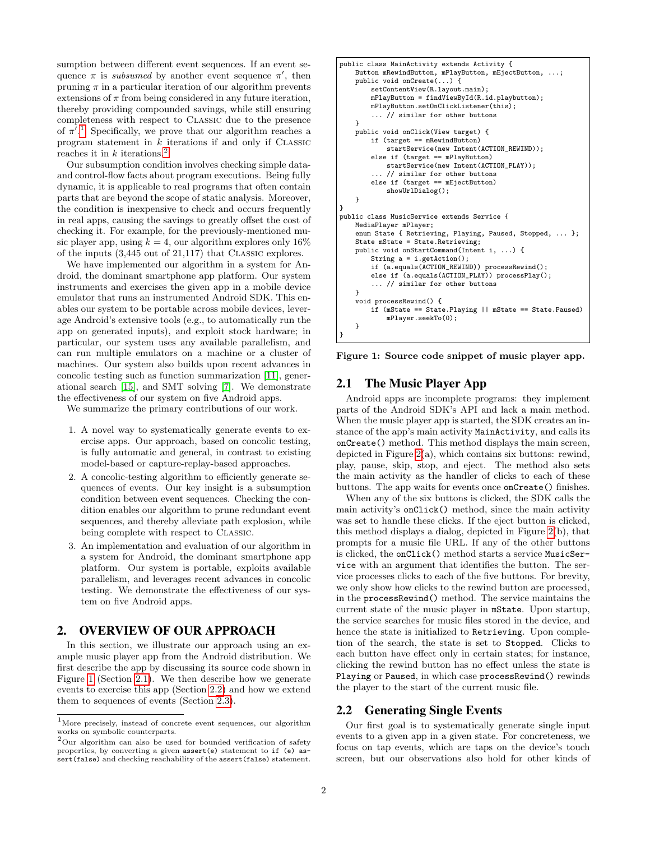sumption between different event sequences. If an event sequence  $\pi$  is *subsumed* by another event sequence  $\pi'$ , then pruning  $\pi$  in a particular iteration of our algorithm prevents extensions of  $\pi$  from being considered in any future iteration, thereby providing compounded savings, while still ensuring completeness with respect to Classic due to the presence of  $\pi^{7}$ .<sup>[1](#page-1-0)</sup> Specifically, we prove that our algorithm reaches a program statement in  $k$  iterations if and only if CLASSIC reaches it in  $k$  iterations.<sup>[2](#page-1-1)</sup>

Our subsumption condition involves checking simple dataand control-flow facts about program executions. Being fully dynamic, it is applicable to real programs that often contain parts that are beyond the scope of static analysis. Moreover, the condition is inexpensive to check and occurs frequently in real apps, causing the savings to greatly offset the cost of checking it. For example, for the previously-mentioned music player app, using  $k = 4$ , our algorithm explores only 16% of the inputs (3,445 out of 21,117) that Classic explores.

We have implemented our algorithm in a system for Android, the dominant smartphone app platform. Our system instruments and exercises the given app in a mobile device emulator that runs an instrumented Android SDK. This enables our system to be portable across mobile devices, leverage Android's extensive tools (e.g., to automatically run the app on generated inputs), and exploit stock hardware; in particular, our system uses any available parallelism, and can run multiple emulators on a machine or a cluster of machines. Our system also builds upon recent advances in concolic testing such as function summarization [\[11\]](#page-10-12), generational search [\[15\]](#page-10-18), and SMT solving [\[7\]](#page-10-19). We demonstrate the effectiveness of our system on five Android apps.

We summarize the primary contributions of our work.

- 1. A novel way to systematically generate events to exercise apps. Our approach, based on concolic testing, is fully automatic and general, in contrast to existing model-based or capture-replay-based approaches.
- 2. A concolic-testing algorithm to efficiently generate sequences of events. Our key insight is a subsumption condition between event sequences. Checking the condition enables our algorithm to prune redundant event sequences, and thereby alleviate path explosion, while being complete with respect to Classic.
- 3. An implementation and evaluation of our algorithm in a system for Android, the dominant smartphone app platform. Our system is portable, exploits available parallelism, and leverages recent advances in concolic testing. We demonstrate the effectiveness of our system on five Android apps.

# <span id="page-1-5"></span>2. OVERVIEW OF OUR APPROACH

In this section, we illustrate our approach using an example music player app from the Android distribution. We first describe the app by discussing its source code shown in Figure [1](#page-1-2) (Section [2.1\)](#page-1-3). We then describe how we generate events to exercise this app (Section [2.2\)](#page-1-4) and how we extend them to sequences of events (Section [2.3\)](#page-2-0).

```
public class MainActivity extends Activity {
   Button mRewindButton, mPlayButton, mEjectButton, ...;
   public void onCreate(...) {
       setContentView(R.layout.main);
        mPlayButton = findViewById(R.id.playbutton);
       mPlayButton.setOnClickListener(this);
        ... // similar for other buttons
   }
   public void onClick(View target) {
       if (target == mRewindButton)
           startService(new Intent(ACTION_REWIND));
        else if (target == mPlayButton)
           startService(new Intent(ACTION_PLAY));
           // similar for other buttons
       else if (target == mEjectButton)
           showUrlDialog();
   }
}
public class MusicService extends Service {
   MediaPlayer mPlayer;
   enum State { Retrieving, Playing, Paused, Stopped, ... };
   State mState = State.Retrieving;
   public void onStartCommand(Intent i, ...) {
       String a = i.getAction();
       if (a.equals(ACTION_REWIND)) processRewind();
       else if (a.equals(ACTION_PLAY)) processPlay();
        ... // similar for other buttons
   }
   void processRewind() {
        if (mState == State.Playing || mState == State.Paused)
            mPlayer.seekTo(0);
   }
}
```
<span id="page-1-2"></span>Figure 1: Source code snippet of music player app.

## <span id="page-1-3"></span>2.1 The Music Player App

Android apps are incomplete programs: they implement parts of the Android SDK's API and lack a main method. When the music player app is started, the SDK creates an instance of the app's main activity MainActivity, and calls its onCreate() method. This method displays the main screen, depicted in Figure  $2(a)$ , which contains six buttons: rewind, play, pause, skip, stop, and eject. The method also sets the main activity as the handler of clicks to each of these buttons. The app waits for events once onCreate() finishes.

When any of the six buttons is clicked, the SDK calls the main activity's onClick() method, since the main activity was set to handle these clicks. If the eject button is clicked, this method displays a dialog, depicted in Figure [2\(](#page-2-1)b), that prompts for a music file URL. If any of the other buttons is clicked, the onClick() method starts a service MusicService with an argument that identifies the button. The service processes clicks to each of the five buttons. For brevity, we only show how clicks to the rewind button are processed, in the processRewind() method. The service maintains the current state of the music player in mState. Upon startup, the service searches for music files stored in the device, and hence the state is initialized to Retrieving. Upon completion of the search, the state is set to Stopped. Clicks to each button have effect only in certain states; for instance, clicking the rewind button has no effect unless the state is Playing or Paused, in which case processRewind() rewinds the player to the start of the current music file.

## <span id="page-1-4"></span>2.2 Generating Single Events

Our first goal is to systematically generate single input events to a given app in a given state. For concreteness, we focus on tap events, which are taps on the device's touch screen, but our observations also hold for other kinds of

<span id="page-1-0"></span> $^{\rm 1}$  More precisely, instead of concrete event sequences, our algorithm works on symbolic counterparts.

<span id="page-1-1"></span> $^2$  Our algorithm can also be used for bounded verification of safety properties, by converting a given assert(e) statement to if (e) assert(false) and checking reachability of the assert(false) statement.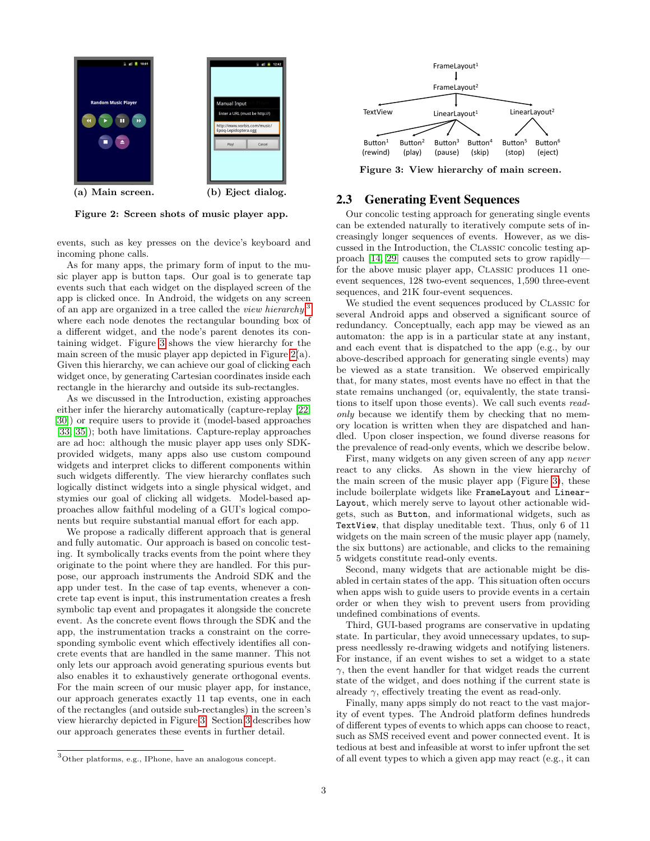

<span id="page-2-1"></span>Figure 2: Screen shots of music player app.

events, such as key presses on the device's keyboard and incoming phone calls.

As for many apps, the primary form of input to the music player app is button taps. Our goal is to generate tap events such that each widget on the displayed screen of the app is clicked once. In Android, the widgets on any screen of an app are organized in a tree called the *view hierarchy*,<sup>[3](#page-2-2)</sup> where each node denotes the rectangular bounding box of a different widget, and the node's parent denotes its containing widget. Figure [3](#page-2-3) shows the view hierarchy for the main screen of the music player app depicted in Figure [2\(](#page-2-1)a). Given this hierarchy, we can achieve our goal of clicking each widget once, by generating Cartesian coordinates inside each rectangle in the hierarchy and outside its sub-rectangles.

As we discussed in the Introduction, existing approaches either infer the hierarchy automatically (capture-replay [\[22,](#page-10-3) [30\]](#page-10-4)) or require users to provide it (model-based approaches [\[33,](#page-10-5) [35\]](#page-10-6)); both have limitations. Capture-replay approaches are ad hoc: although the music player app uses only SDKprovided widgets, many apps also use custom compound widgets and interpret clicks to different components within such widgets differently. The view hierarchy conflates such logically distinct widgets into a single physical widget, and stymies our goal of clicking all widgets. Model-based approaches allow faithful modeling of a GUI's logical components but require substantial manual effort for each app.

We propose a radically different approach that is general and fully automatic. Our approach is based on concolic testing. It symbolically tracks events from the point where they originate to the point where they are handled. For this purpose, our approach instruments the Android SDK and the app under test. In the case of tap events, whenever a concrete tap event is input, this instrumentation creates a fresh symbolic tap event and propagates it alongside the concrete event. As the concrete event flows through the SDK and the app, the instrumentation tracks a constraint on the corresponding symbolic event which effectively identifies all concrete events that are handled in the same manner. This not only lets our approach avoid generating spurious events but also enables it to exhaustively generate orthogonal events. For the main screen of our music player app, for instance, our approach generates exactly 11 tap events, one in each of the rectangles (and outside sub-rectangles) in the screen's view hierarchy depicted in Figure [3.](#page-2-3) Section [3](#page-3-0) describes how our approach generates these events in further detail.

<span id="page-2-2"></span>



<span id="page-2-3"></span>Figure 3: View hierarchy of main screen.

## <span id="page-2-0"></span>2.3 Generating Event Sequences

Our concolic testing approach for generating single events can be extended naturally to iteratively compute sets of increasingly longer sequences of events. However, as we discussed in the Introduction, the Classic concolic testing approach [\[14,](#page-10-8) [29\]](#page-10-9) causes the computed sets to grow rapidly for the above music player app, Classic produces 11 oneevent sequences, 128 two-event sequences, 1,590 three-event sequences, and 21K four-event sequences.

We studied the event sequences produced by Classic for several Android apps and observed a significant source of redundancy. Conceptually, each app may be viewed as an automaton: the app is in a particular state at any instant, and each event that is dispatched to the app (e.g., by our above-described approach for generating single events) may be viewed as a state transition. We observed empirically that, for many states, most events have no effect in that the state remains unchanged (or, equivalently, the state transitions to itself upon those events). We call such events readonly because we identify them by checking that no memory location is written when they are dispatched and handled. Upon closer inspection, we found diverse reasons for the prevalence of read-only events, which we describe below.

First, many widgets on any given screen of any app never react to any clicks. As shown in the view hierarchy of the main screen of the music player app (Figure [3\)](#page-2-3), these include boilerplate widgets like FrameLayout and Linear-Layout, which merely serve to layout other actionable widgets, such as Button, and informational widgets, such as TextView, that display uneditable text. Thus, only 6 of 11 widgets on the main screen of the music player app (namely, the six buttons) are actionable, and clicks to the remaining 5 widgets constitute read-only events.

Second, many widgets that are actionable might be disabled in certain states of the app. This situation often occurs when apps wish to guide users to provide events in a certain order or when they wish to prevent users from providing undefined combinations of events.

Third, GUI-based programs are conservative in updating state. In particular, they avoid unnecessary updates, to suppress needlessly re-drawing widgets and notifying listeners. For instance, if an event wishes to set a widget to a state  $\gamma$ , then the event handler for that widget reads the current state of the widget, and does nothing if the current state is already  $\gamma$ , effectively treating the event as read-only.

Finally, many apps simply do not react to the vast majority of event types. The Android platform defines hundreds of different types of events to which apps can choose to react, such as SMS received event and power connected event. It is tedious at best and infeasible at worst to infer upfront the set of all event types to which a given app may react (e.g., it can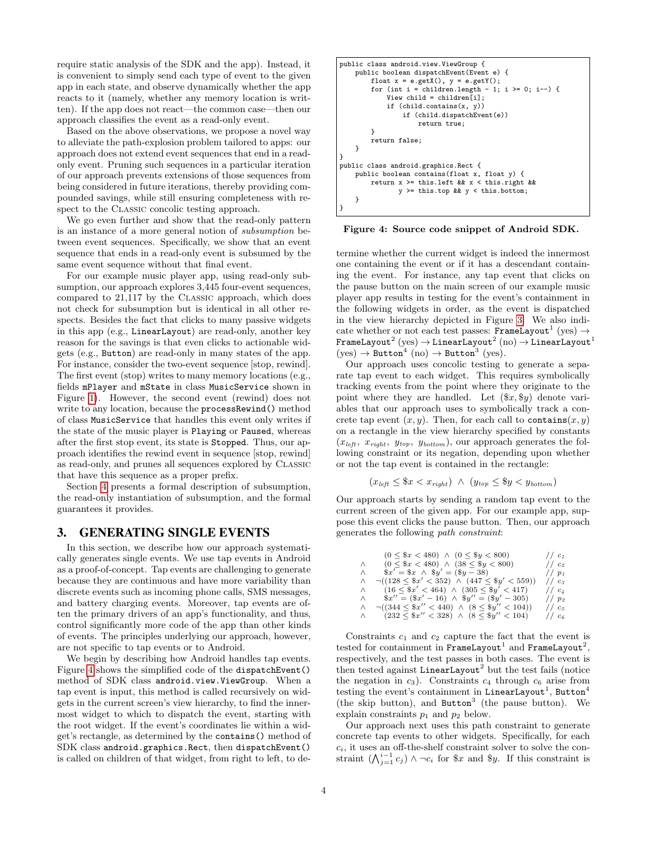require static analysis of the SDK and the app). Instead, it is convenient to simply send each type of event to the given app in each state, and observe dynamically whether the app reacts to it (namely, whether any memory location is written). If the app does not react—the common case—then our approach classifies the event as a read-only event.

Based on the above observations, we propose a novel way to alleviate the path-explosion problem tailored to apps: our approach does not extend event sequences that end in a readonly event. Pruning such sequences in a particular iteration of our approach prevents extensions of those sequences from being considered in future iterations, thereby providing compounded savings, while still ensuring completeness with respect to the Classic concolic testing approach.

We go even further and show that the read-only pattern is an instance of a more general notion of subsumption between event sequences. Specifically, we show that an event sequence that ends in a read-only event is subsumed by the same event sequence without that final event.

For our example music player app, using read-only subsumption, our approach explores 3,445 four-event sequences, compared to 21,117 by the Classic approach, which does not check for subsumption but is identical in all other respects. Besides the fact that clicks to many passive widgets in this app (e.g., LinearLayout) are read-only, another key reason for the savings is that even clicks to actionable widgets (e.g., Button) are read-only in many states of the app. For instance, consider the two-event sequence [stop, rewind]. The first event (stop) writes to many memory locations (e.g., fields mPlayer and mState in class MusicService shown in Figure [1\)](#page-1-2). However, the second event (rewind) does not write to any location, because the processRewind() method of class MusicService that handles this event only writes if the state of the music player is Playing or Paused, whereas after the first stop event, its state is Stopped. Thus, our approach identifies the rewind event in sequence [stop, rewind] as read-only, and prunes all sequences explored by Classic that have this sequence as a proper prefix.

Section [4](#page-4-0) presents a formal description of subsumption, the read-only instantiation of subsumption, and the formal guarantees it provides.

## <span id="page-3-0"></span>3. GENERATING SINGLE EVENTS

In this section, we describe how our approach systematically generates single events. We use tap events in Android as a proof-of-concept. Tap events are challenging to generate because they are continuous and have more variability than discrete events such as incoming phone calls, SMS messages, and battery charging events. Moreover, tap events are often the primary drivers of an app's functionality, and thus, control significantly more code of the app than other kinds of events. The principles underlying our approach, however, are not specific to tap events or to Android.

We begin by describing how Android handles tap events. Figure [4](#page-3-1) shows the simplified code of the dispatchEvent() method of SDK class android.view.ViewGroup. When a tap event is input, this method is called recursively on widgets in the current screen's view hierarchy, to find the innermost widget to which to dispatch the event, starting with the root widget. If the event's coordinates lie within a widget's rectangle, as determined by the contains() method of SDK class android.graphics.Rect, then dispatchEvent() is called on children of that widget, from right to left, to de-

public class android.view.ViewGroup { public boolean dispatchEvent(Event e) { float x = e.getX(), y = e.getY(); for (int i = children.length - 1; i >= 0; i--) { View child = children[i]; if (child.contains(x, y)) if (child.dispatchEvent(e)) return true; } return false; } } public class android.graphics.Rect { public boolean contains(float x, float y) { return x >= this.left && x < this.right && y >= this.top && y < this.bottom; } }

<span id="page-3-1"></span>Figure 4: Source code snippet of Android SDK.

termine whether the current widget is indeed the innermost one containing the event or if it has a descendant containing the event. For instance, any tap event that clicks on the pause button on the main screen of our example music player app results in testing for the event's containment in the following widgets in order, as the event is dispatched in the view hierarchy depicted in Figure [3.](#page-2-3) We also indicate whether or not each test passes:  $FrameLayout^1$  (yes)  $\rightarrow$  $\texttt{FrameLayout}^2\left(\text{yes}\right) \to \texttt{LinearLayout}^2\left(\text{no}\right) \to \texttt{LinearLayout}^1$  $(yes) \rightarrow \text{Button}^4 \text{ (no)} \rightarrow \text{Button}^3 \text{ (yes)}.$ 

Our approach uses concolic testing to generate a separate tap event to each widget. This requires symbolically tracking events from the point where they originate to the point where they are handled. Let  $(\$x, \$y)$  denote variables that our approach uses to symbolically track a concrete tap event  $(x, y)$ . Then, for each call to contains $(x, y)$ on a rectangle in the view hierarchy specified by constants  $(x_{left}, x_{right}, y_{top}, y_{bottom})$ , our approach generates the following constraint or its negation, depending upon whether or not the tap event is contained in the rectangle:

$$
(x_{\text{left}} \leq \$x < x_{\text{right}}) \ \land \ (y_{\text{top}} \leq \$y < y_{\text{bottom}})
$$

Our approach starts by sending a random tap event to the current screen of the given app. For our example app, suppose this event clicks the pause button. Then, our approach generates the following path constraint:

|    | $(0 \leq$ \$x $\lt$ 480) $\land$ $(0 \leq$ \$y $\lt$ 800)                                             | 1/c <sub>1</sub> |
|----|-------------------------------------------------------------------------------------------------------|------------------|
| Λ  | $(0 \leq$ \$x $\lt$ 480) $\land$ $(38 \leq$ \$y $\lt$ 800)                                            | // $c_2$         |
| Λ  | $x' = x \wedge 3y' = (x - 38)$                                                                        | $1/ p_1$         |
| Λ  | $\neg((128 \leq$ $x' < 352) \land (447 \leq$ $y' < 559))$                                             | 1/c <sub>3</sub> |
| Λ. | $(16 \leq$ $\frac{6}{x}$ ' < 464) $\land$ $(305 \leq$ $\frac{6}{y}$ ' < 417)                          | $1/c_4$          |
| Λ  | $\text{\$x'' = (\$x' - 16) \ \wedge \ \$y'' = (\$y' - 305)}$                                          | $1/2p_2$         |
| Λ  | $\neg((344 \leq \frac{6}{3}x^{\prime\prime} < 440) \land (8 \leq \frac{6}{3}y^{\prime\prime} < 104))$ | 1/c <sub>5</sub> |
| Λ  | $(232 \leq$ $\frac{6}{x}$ '' < 328) $\land$ $(8 \leq \frac{6}{y}$ '' < 104)                           | $1/c_6$          |

Constraints  $c_1$  and  $c_2$  capture the fact that the event is tested for containment in FrameLayout<sup>1</sup> and FrameLayout<sup>2</sup>, respectively, and the test passes in both cases. The event is then tested against LinearLayout<sup>2</sup> but the test fails (notice the negation in  $c_3$ ). Constraints  $c_4$  through  $c_6$  arise from testing the event's containment in LinearLayout<sup>1</sup>, Button<sup>4</sup> (the skip button), and  $Button^3$  (the pause button). We explain constraints  $p_1$  and  $p_2$  below.

Our approach next uses this path constraint to generate concrete tap events to other widgets. Specifically, for each  $c_i$ , it uses an off-the-shelf constraint solver to solve the constraint  $(\bigwedge_{j=1}^{i-1} c_j) \wedge \neg c_i$  for \$x and \$y. If this constraint is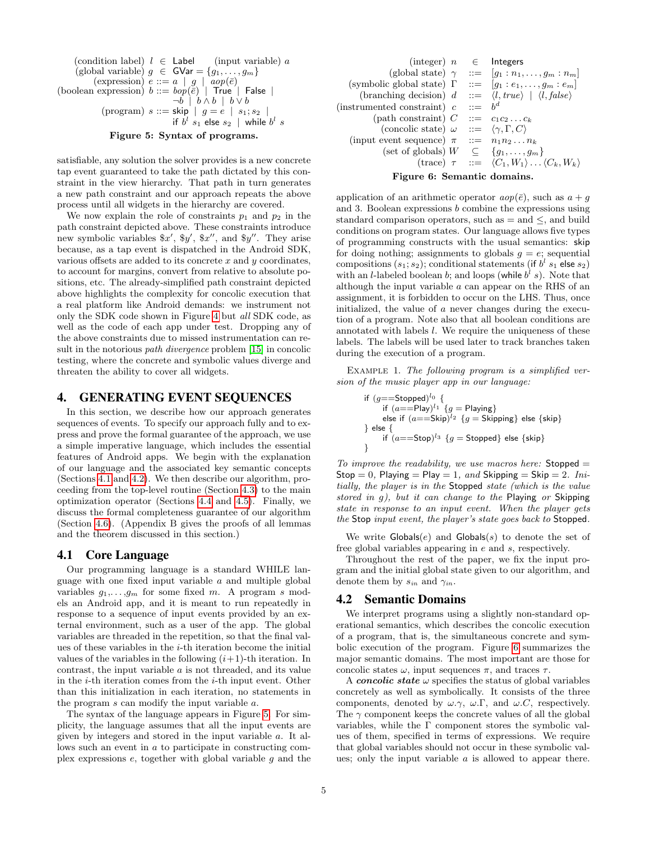\n- (condition label) 
$$
l \in \text{Label}
$$
 (input variable)  $a$  (global variable)  $g \in \text{GVar} = \{g_1, \ldots, g_m\}$  (expression)  $e ::= a \mid g \mid aop(\bar{e})$
\n- (boolean expression)  $b ::= \text{loop}(\bar{e}) \mid \text{True} \mid \text{False} \mid \neg b \mid b \land b \mid b \lor b$  (program)  $s ::= \text{skip} \mid g = e \mid s_1, s_2 \mid$  if  $b^l s_1$  else  $s_2 \mid$  while  $b^l s$
\n- **Figure 5: Syntax of programs.**
\n

<span id="page-4-3"></span>satisfiable, any solution the solver provides is a new concrete tap event guaranteed to take the path dictated by this constraint in the view hierarchy. That path in turn generates a new path constraint and our approach repeats the above process until all widgets in the hierarchy are covered.

We now explain the role of constraints  $p_1$  and  $p_2$  in the path constraint depicted above. These constraints introduce new symbolic variables  $x', y', x''$ , and  $y''$ . They arise because, as a tap event is dispatched in the Android SDK, various offsets are added to its concrete  $x$  and  $y$  coordinates, to account for margins, convert from relative to absolute positions, etc. The already-simplified path constraint depicted above highlights the complexity for concolic execution that a real platform like Android demands: we instrument not only the SDK code shown in Figure [4](#page-3-1) but all SDK code, as well as the code of each app under test. Dropping any of the above constraints due to missed instrumentation can result in the notorious *path divergence* problem [\[15\]](#page-10-18) in concolic testing, where the concrete and symbolic values diverge and threaten the ability to cover all widgets.

## <span id="page-4-0"></span>4. GENERATING EVENT SEQUENCES

In this section, we describe how our approach generates sequences of events. To specify our approach fully and to express and prove the formal guarantee of the approach, we use a simple imperative language, which includes the essential features of Android apps. We begin with the explanation of our language and the associated key semantic concepts (Sections [4.1](#page-4-1) and [4.2\)](#page-4-2). We then describe our algorithm, proceeding from the top-level routine (Section [4.3\)](#page-5-0) to the main optimization operator (Sections [4.4](#page-6-0) and [4.5\)](#page-6-1). Finally, we discuss the formal completeness guarantee of our algorithm (Section [4.6\)](#page-7-0). (Appendix B gives the proofs of all lemmas and the theorem discussed in this section.)

#### <span id="page-4-1"></span>4.1 Core Language

Our programming language is a standard WHILE language with one fixed input variable a and multiple global variables  $g_1, \ldots, g_m$  for some fixed m. A program s models an Android app, and it is meant to run repeatedly in response to a sequence of input events provided by an external environment, such as a user of the app. The global variables are threaded in the repetition, so that the final values of these variables in the  $i$ -th iteration become the initial values of the variables in the following  $(i+1)$ -th iteration. In contrast, the input variable a is not threaded, and its value in the  $i$ -th iteration comes from the  $i$ -th input event. Other than this initialization in each iteration, no statements in the program s can modify the input variable a.

The syntax of the language appears in Figure [5.](#page-4-3) For simplicity, the language assumes that all the input events are given by integers and stored in the input variable a. It allows such an event in a to participate in constructing complex expressions e, together with global variable g and the



<span id="page-4-4"></span>application of an arithmetic operator  $aop(\bar{e})$ , such as  $a + g$ and 3. Boolean expressions b combine the expressions using standard comparison operators, such as  $=$  and  $\leq$ , and build conditions on program states. Our language allows five types of programming constructs with the usual semantics: skip for doing nothing; assignments to globals  $g = e$ ; sequential compositions  $(s_1; s_2)$ ; conditional statements (if  $b^l s_1$  else  $s_2$ ) with an *l*-labeled boolean *b*; and loops (while  $b^l s$ ). Note that although the input variable a can appear on the RHS of an assignment, it is forbidden to occur on the LHS. Thus, once initialized, the value of a never changes during the execution of a program. Note also that all boolean conditions are annotated with labels l. We require the uniqueness of these labels. The labels will be used later to track branches taken during the execution of a program.

<span id="page-4-5"></span>EXAMPLE 1. The following program is a simplified version of the music player app in our language:

$$
\begin{array}{l} \text{if } (g==\text{Stoped})^{l_0} \; \{ \\ \text{if } (a==\text{Play})^{l_1} \; \{g=\text{Playing}\} \\ \text{else if } (a==\text{skip})^{l_2} \; \{g=\text{Skipping}\} \; \text{else } \{ \text{skip}\} \\ \} \; \text{else } \{ \\ \text{if } (a==\text{Stop})^{l_3} \; \{g=\text{Stoped}\} \; \text{else } \{ \text{skip}\} \\ \} \end{array}
$$

To improve the readability, we use macros here:  $\mathsf{Stoped} =$ Stop = 0, Playing = Play = 1, and Skipping = Skip = 2. Initially, the player is in the Stopped state (which is the value stored in g), but it can change to the Playing or Skipping state in response to an input event. When the player gets the Stop input event, the player's state goes back to Stopped.

We write  $\mathsf{Globals}(e)$  and  $\mathsf{Globals}(s)$  to denote the set of free global variables appearing in e and s, respectively.

Throughout the rest of the paper, we fix the input program and the initial global state given to our algorithm, and denote them by  $s_{in}$  and  $\gamma_{in}$ .

#### <span id="page-4-2"></span>4.2 Semantic Domains

We interpret programs using a slightly non-standard operational semantics, which describes the concolic execution of a program, that is, the simultaneous concrete and symbolic execution of the program. Figure [6](#page-4-4) summarizes the major semantic domains. The most important are those for concolic states  $\omega$ , input sequences  $\pi$ , and traces  $\tau$ .

A concolic state  $\omega$  specifies the status of global variables concretely as well as symbolically. It consists of the three components, denoted by  $\omega.\gamma$ ,  $\omega.\Gamma$ , and  $\omega.C$ , respectively. The  $\gamma$  component keeps the concrete values of all the global variables, while the Γ component stores the symbolic values of them, specified in terms of expressions. We require that global variables should not occur in these symbolic values; only the input variable  $a$  is allowed to appear there.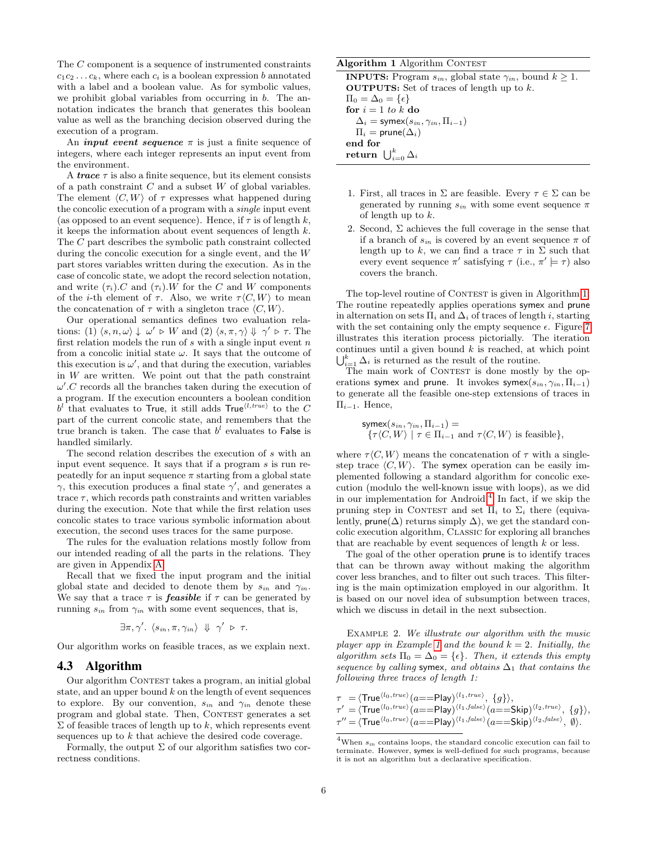The C component is a sequence of instrumented constraints  $c_1c_2 \ldots c_k$ , where each  $c_i$  is a boolean expression b annotated with a label and a boolean value. As for symbolic values, we prohibit global variables from occurring in  $b$ . The annotation indicates the branch that generates this boolean value as well as the branching decision observed during the execution of a program.

An *input event sequence*  $\pi$  is just a finite sequence of integers, where each integer represents an input event from the environment.

A trace  $\tau$  is also a finite sequence, but its element consists of a path constraint  $C$  and a subset  $W$  of global variables. The element  $\langle C, W \rangle$  of  $\tau$  expresses what happened during the concolic execution of a program with a single input event (as opposed to an event sequence). Hence, if  $\tau$  is of length k, it keeps the information about event sequences of length k. The C part describes the symbolic path constraint collected during the concolic execution for a single event, and the W part stores variables written during the execution. As in the case of concolic state, we adopt the record selection notation, and write  $(\tau_i)$ . C and  $(\tau_i)$ . W for the C and W components of the *i*-th element of  $\tau$ . Also, we write  $\tau \langle C, W \rangle$  to mean the concatenation of  $\tau$  with a singleton trace  $\langle C, W \rangle$ .

Our operational semantics defines two evaluation relations: (1)  $\langle s, n, \omega \rangle \downarrow \omega' \triangleright W$  and (2)  $\langle s, \pi, \gamma \rangle \Downarrow \gamma' \triangleright \tau$ . The first relation models the run of  $s$  with a single input event  $n$ from a concolic initial state  $\omega$ . It says that the outcome of this execution is  $\omega'$ , and that during the execution, variables in  $W$  are written. We point out that the path constraint  $\omega'.C$  records all the branches taken during the execution of a program. If the execution encounters a boolean condition  $b^l$  that evaluates to True, it still adds True<sup> $\langle l, true \rangle$ </sup> to the C part of the current concolic state, and remembers that the true branch is taken. The case that  $b^l$  evaluates to False is handled similarly.

The second relation describes the execution of s with an input event sequence. It says that if a program s is run repeatedly for an input sequence  $\pi$  starting from a global state  $\gamma$ , this execution produces a final state  $\gamma'$ , and generates a trace  $\tau$ , which records path constraints and written variables during the execution. Note that while the first relation uses concolic states to trace various symbolic information about execution, the second uses traces for the same purpose.

The rules for the evaluation relations mostly follow from our intended reading of all the parts in the relations. They are given in Appendix [A.](#page-11-0)

Recall that we fixed the input program and the initial global state and decided to denote them by  $s_{in}$  and  $\gamma_{in}$ . We say that a trace  $\tau$  is **feasible** if  $\tau$  can be generated by running  $s_{in}$  from  $\gamma_{in}$  with some event sequences, that is,

$$
\exists \pi, \gamma'. \ \langle s_{in}, \pi, \gamma_{in} \rangle \ \Downarrow \ \gamma' \ \triangleright \ \tau.
$$

Our algorithm works on feasible traces, as we explain next.

## <span id="page-5-0"></span>4.3 Algorithm

Our algorithm CONTEST takes a program, an initial global state, and an upper bound  $k$  on the length of event sequences to explore. By our convention,  $s_{in}$  and  $\gamma_{in}$  denote these program and global state. Then, CONTEST generates a set  $\Sigma$  of feasible traces of length up to k, which represents event sequences up to k that achieve the desired code coverage.

Formally, the output  $\Sigma$  of our algorithm satisfies two correctness conditions.

#### <span id="page-5-1"></span>Algorithm 1 Algorithm CONTEST

**INPUTS:** Program  $s_{in}$ , global state  $\gamma_{in}$ , bound  $k \geq 1$ . **OUTPUTS:** Set of traces of length up to  $k$ .  $\Pi_0 = \Delta_0 = \{\epsilon\}$ for  $i = 1$  to  $k$  do  $\Delta_i = \text{symex}(s_{in}, \gamma_{in}, \Pi_{i-1})$  $\Pi_i =$  prune $(\Delta_i)$ end for  $\mathop{\rm return}\nolimits\; \bigcup_{i=0}^k \Delta_i$ 

- 1. First, all traces in  $\Sigma$  are feasible. Every  $\tau \in \Sigma$  can be generated by running  $s_{in}$  with some event sequence  $\pi$ of length up to k.
- 2. Second,  $\Sigma$  achieves the full coverage in the sense that if a branch of  $s_{in}$  is covered by an event sequence  $\pi$  of length up to k, we can find a trace  $\tau$  in  $\Sigma$  such that every event sequence  $\pi'$  satisfying  $\tau$  (i.e.,  $\pi' \models \tau$ ) also covers the branch.

The top-level routine of CONTEST is given in Algorithm [1.](#page-5-1) The routine repeatedly applies operations symex and prune in alternation on sets  $\Pi_i$  and  $\Delta_i$  of traces of length i, starting with the set containing only the empty sequence  $\epsilon$ . Figure [7](#page-6-2) illustrates this iteration process pictorially. The iteration continues until a given bound  $k$  is reached, at which point  $\bigcup_{i=1}^k \Delta_i$  is returned as the result of the routine.

The main work of CONTEST is done mostly by the operations symex and prune. It invokes symex $(s_{in}, \gamma_{in}, \Pi_{i-1})$ to generate all the feasible one-step extensions of traces in  $\Pi_{i-1}$ . Hence,

$$
symex(s_{in}, \gamma_{in}, \Pi_{i-1}) =
$$
  

$$
\{\tau \langle C, W \rangle \mid \tau \in \Pi_{i-1} \text{ and } \tau \langle C, W \rangle \text{ is feasible}\},
$$

where  $\tau \langle C, W \rangle$  means the concatenation of  $\tau$  with a singlestep trace  $\langle C, W \rangle$ . The symex operation can be easily implemented following a standard algorithm for concolic execution (modulo the well-known issue with loops), as we did in our implementation for Android.<sup>[4](#page-5-2)</sup> In fact, if we skip the pruning step in CONTEST and set  $\Pi_i$  to  $\Sigma_i$  there (equivalently, prune( $\Delta$ ) returns simply  $\Delta$ ), we get the standard concolic execution algorithm, Classic for exploring all branches that are reachable by event sequences of length  $k$  or less.

The goal of the other operation prune is to identify traces that can be thrown away without making the algorithm cover less branches, and to filter out such traces. This filtering is the main optimization employed in our algorithm. It is based on our novel idea of subsumption between traces, which we discuss in detail in the next subsection.

EXAMPLE 2. We illustrate our algorithm with the music player app in Example [1](#page-4-5) and the bound  $k = 2$ . Initially, the algorithm sets  $\Pi_0 = \Delta_0 = {\epsilon}.$  Then, it extends this empty sequence by calling symex, and obtains  $\Delta_1$  that contains the following three traces of length 1:

$$
\tau = \langle \text{True}^{\langle l_0, true \rangle}(a == \text{Play})^{\langle l_1, true \rangle}, \{g\} \rangle,
$$
  
\n
$$
\tau' = \langle \text{True}^{\langle l_0, true \rangle}(a == \text{Play})^{\langle l_1, false \rangle}(a == \text{skip})^{\langle l_2, true \rangle}, \{g\} \rangle,
$$
  
\n
$$
\tau'' = \langle \text{True}^{\langle l_0, true \rangle}(a == \text{Play})^{\langle l_1, false \rangle}(a == \text{skip})^{\langle l_2, false \rangle}, \emptyset \rangle.
$$

<span id="page-5-2"></span> $\rm ^4When$   $s_{in}$  contains loops, the standard concolic execution can fail to terminate. However, symex is well-defined for such programs, because it is not an algorithm but a declarative specification.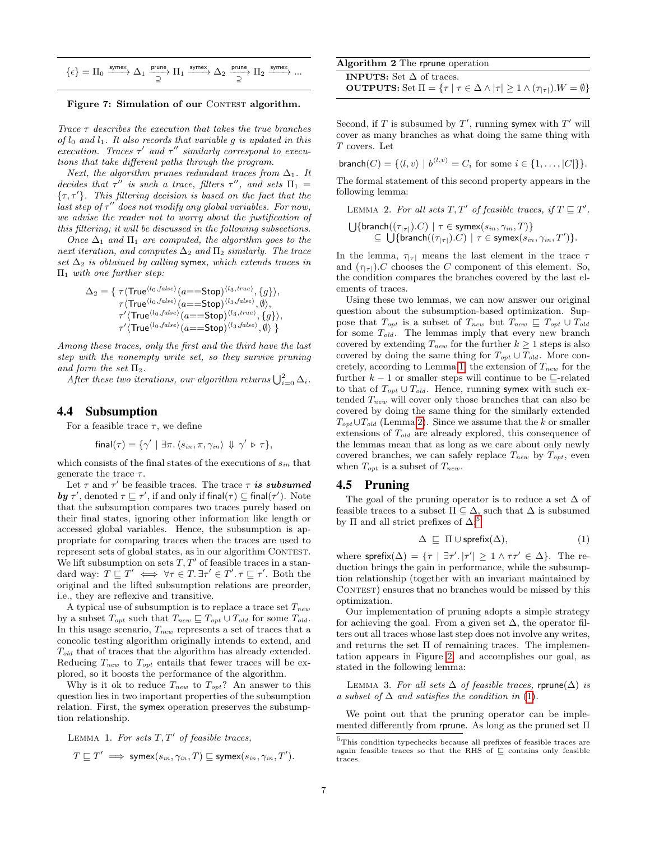$$
\{\epsilon\}=\Pi_0\xrightarrow{\text{symex}}\Delta_1\xrightarrow{\text{prune}}\Pi_1\xrightarrow{\text{symex}}\Delta_2\xrightarrow{\text{prune}}\Pi_2\xrightarrow{\text{symex}}...
$$

#### <span id="page-6-2"></span>Figure 7: Simulation of our CONTEST algorithm.

Trace  $\tau$  describes the execution that takes the true branches of  $l_0$  and  $l_1$ . It also records that variable g is updated in this execution. Traces  $\tau'$  and  $\tau''$  similarly correspond to executions that take different paths through the program.

Next, the algorithm prunes redundant traces from  $\Delta_1$ . It decides that  $\tau''$  is such a trace, filters  $\tau''$ , and sets  $\Pi_1$  =  $\{\tau, \tau'\}.$  This filtering decision is based on the fact that the last step of  $\tau''$  does not modify any global variables. For now, we advise the reader not to worry about the justification of this filtering; it will be discussed in the following subsections.

Once  $\Delta_1$  and  $\Pi_1$  are computed, the algorithm goes to the next iteration, and computes  $\Delta_2$  and  $\Pi_2$  similarly. The trace set  $\Delta_2$  is obtained by calling symex, which extends traces in  $\Pi_1$  with one further step:

$$
\Delta_2 = \{ \tau \langle \text{True}^{\langle l_0, false \rangle}(a=\text{Stop})^{\langle l_3, true \rangle}, \{g\} \rangle, \\ \tau \langle \text{True}^{\langle l_0, false \rangle}(a=\text{Stop})^{\langle l_3, false \rangle}, \emptyset \rangle, \\ \tau' \langle \text{True}^{\langle l_0, false \rangle}(a=\text{Stop})^{\langle l_3, true \rangle}, \{g\} \rangle, \\ \tau' \langle \text{True}^{\langle l_0, false \rangle}(a=\text{Stop})^{\langle l_3, false \rangle}, \emptyset \rangle \}
$$

Among these traces, only the first and the third have the last step with the nonempty write set, so they survive pruning and form the set  $\Pi_2$ .

After these two iterations, our algorithm returns  $\bigcup_{i=0}^2 \Delta_i$ .

#### <span id="page-6-0"></span>4.4 Subsumption

For a feasible trace  $\tau$ , we define

$$
\mathsf{final}(\tau) = \{ \gamma' \mid \exists \pi. \langle s_{in}, \pi, \gamma_{in} \rangle \Downarrow \gamma' \triangleright \tau \},
$$

which consists of the final states of the executions of  $s_{in}$  that generate the trace  $\tau$ .

Let  $\tau$  and  $\tau'$  be feasible traces. The trace  $\tau$  is subsumed by  $\tau'$ , denoted  $\tau \sqsubseteq \tau'$ , if and only if final( $\tau$ )  $\subseteq$  final( $\tau'$ ). Note that the subsumption compares two traces purely based on their final states, ignoring other information like length or accessed global variables. Hence, the subsumption is appropriate for comparing traces when the traces are used to represent sets of global states, as in our algorithm CONTEST. We lift subsumption on sets  $T, T'$  of feasible traces in a standard way:  $T \sqsubseteq T' \iff \forall \tau \in T$ .  $\exists \tau' \in T'. \tau \sqsubseteq \tau'.$  Both the original and the lifted subsumption relations are preorder, i.e., they are reflexive and transitive.

A typical use of subsumption is to replace a trace set  $T_{new}$ by a subset  $T_{opt}$  such that  $T_{new} \sqsubseteq T_{opt} \cup T_{old}$  for some  $T_{old}$ . In this usage scenario,  $T_{new}$  represents a set of traces that a concolic testing algorithm originally intends to extend, and  $T_{old}$  that of traces that the algorithm has already extended. Reducing  $T_{new}$  to  $T_{opt}$  entails that fewer traces will be explored, so it boosts the performance of the algorithm.

Why is it ok to reduce  $T_{new}$  to  $T_{opt}$ ? An answer to this question lies in two important properties of the subsumption relation. First, the symex operation preserves the subsumption relationship.

<span id="page-6-3"></span>LEMMA 1. For sets  $T, T'$  of feasible traces,

$$
T \sqsubseteq T' \implies \mathsf{symex}(s_{in}, \gamma_{in}, T) \sqsubseteq \mathsf{symex}(s_{in}, \gamma_{in}, T').
$$

<span id="page-6-6"></span>

| <b>Algorithm 2</b> The rprune operation                                                                      |
|--------------------------------------------------------------------------------------------------------------|
| <b>INPUTS:</b> Set $\Delta$ of traces.                                                                       |
| <b>OUTPUTS:</b> Set $\Pi = {\tau   \tau \in \Delta \land  \tau  \geq 1 \land (\tau_{ \tau }).W = \emptyset}$ |

Second, if T is subsumed by  $T'$ , running symex with  $T'$  will cover as many branches as what doing the same thing with  ${\cal T}$  covers. Let

branch $(C) = \{ \langle l, v \rangle \mid b^{\langle l, v \rangle} = C_i \text{ for some } i \in \{1, \ldots, |C| \} \}.$ 

The formal statement of this second property appears in the following lemma:

<span id="page-6-4"></span>LEMMA 2. For all sets  $T, T'$  of feasible traces, if  $T \sqsubseteq T'$ .

$$
\bigcup \{\text{branch}((\tau_{|\tau|}).C) \mid \tau \in \text{symex}(s_{in}, \gamma_{in}, T)\} \subseteq \bigcup \{\text{branch}((\tau_{|\tau|}).C) \mid \tau \in \text{symex}(s_{in}, \gamma_{in}, T')\}.
$$

In the lemma,  $\tau_{|\tau|}$  means the last element in the trace  $\tau$ and  $(\tau_{|\tau|}).C$  chooses the C component of this element. So, the condition compares the branches covered by the last elements of traces.

Using these two lemmas, we can now answer our original question about the subsumption-based optimization. Suppose that  $T_{opt}$  is a subset of  $T_{new}$  but  $T_{new} \subseteq T_{opt} \cup T_{old}$ for some  $T_{old}$ . The lemmas imply that every new branch covered by extending  $T_{new}$  for the further  $k \geq 1$  steps is also covered by doing the same thing for  $T_{opt} \cup T_{old}$ . More con-cretely, according to Lemma [1,](#page-6-3) the extension of  $T_{new}$  for the further  $k - 1$  or smaller steps will continue to be  $\sqsubseteq$ -related to that of  $T_{opt} \cup T_{old}$ . Hence, running symex with such extended  $T_{new}$  will cover only those branches that can also be covered by doing the same thing for the similarly extended  $T_{\text{out}} \cup T_{\text{old}}$  (Lemma [2\)](#page-6-4). Since we assume that the k or smaller extensions of  $T_{old}$  are already explored, this consequence of the lemmas mean that as long as we care about only newly covered branches, we can safely replace  $T_{new}$  by  $T_{opt}$ , even when  $T_{opt}$  is a subset of  $T_{new}$ .

## <span id="page-6-1"></span>4.5 Pruning

The goal of the pruning operator is to reduce a set  $\Delta$  of feasible traces to a subset  $\Pi \subseteq \Delta$ , such that  $\Delta$  is subsumed by  $\Pi$  and all strict prefixes of  $\Delta$ :<sup>[5](#page-6-5)</sup>

<span id="page-6-8"></span><span id="page-6-7"></span>
$$
\Delta \sqsubseteq \Pi \cup \text{sprefix}(\Delta), \tag{1}
$$

where sprefix $(\Delta) = {\tau | \exists \tau'. |\tau'| \geq 1 \land \tau \tau' \in \Delta}.$  The reduction brings the gain in performance, while the subsumption relationship (together with an invariant maintained by CONTEST) ensures that no branches would be missed by this optimization.

Our implementation of pruning adopts a simple strategy for achieving the goal. From a given set  $\Delta$ , the operator filters out all traces whose last step does not involve any writes, and returns the set  $\Pi$  of remaining traces. The implementation appears in Figure [2,](#page-6-6) and accomplishes our goal, as stated in the following lemma:

LEMMA 3. For all sets  $\Delta$  of feasible traces, rprune( $\Delta$ ) is a subset of  $\Delta$  and satisfies the condition in [\(1\)](#page-6-7).

We point out that the pruning operator can be implemented differently from rprune. As long as the pruned set Π

<span id="page-6-5"></span> $^5 \mathrm{This}$  condition typechecks because all prefixes of feasible traces are again feasible traces so that the RHS of  $\sqsubseteq$  contains only feasible traces.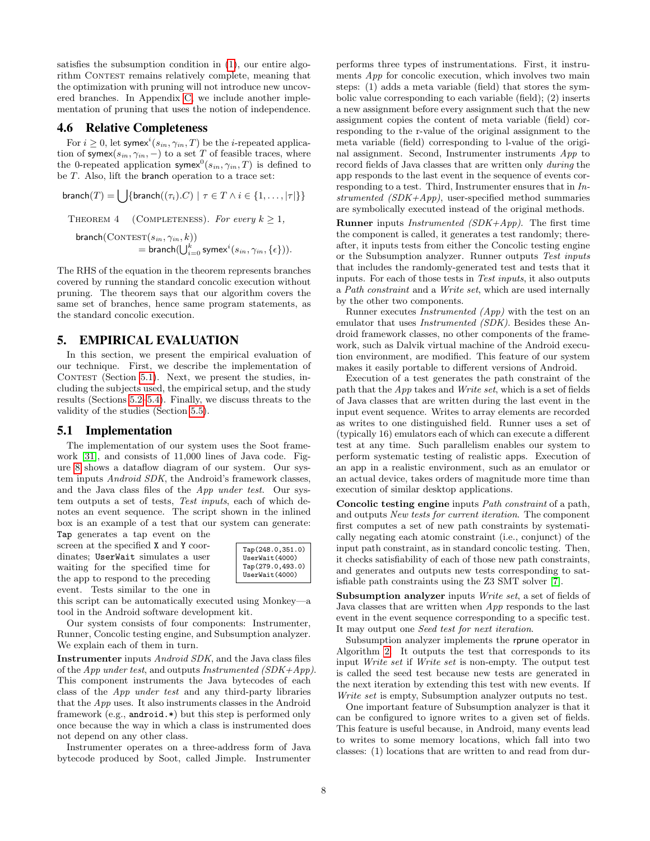satisfies the subsumption condition in [\(1\)](#page-6-7), our entire algorithm CONTEST remains relatively complete, meaning that the optimization with pruning will not introduce new uncovered branches. In Appendix [C,](#page-13-0) we include another implementation of pruning that uses the notion of independence.

## <span id="page-7-0"></span>4.6 Relative Completeness

For  $i \geq 0$ , let symex<sup>i</sup>( $s_{in}, \gamma_{in}, T$ ) be the *i*-repeated application of symex( $s_{in}$ ,  $\gamma_{in}$ , –) to a set T of feasible traces, where the 0-repeated application symex<sup>0</sup>( $s_{in}$ ,  $\gamma_{in}$ , T) is defined to be  $T$ . Also, lift the **branch** operation to a trace set:

<span id="page-7-2"></span>
$$
\begin{aligned}\n\text{branch}(T) &= \bigcup \{ \text{branch}((\tau_i).C) \mid \tau \in T \land i \in \{1, \dots, |\tau|\} \} \\
\text{THEOREM 4} \quad \text{(COMPLETENESS)}. \quad For every \, k \ge 1, \\
\text{branch}(\text{CONTEST}(s_{in}, \gamma_{in}, k)) \\
&= \text{branch}(\bigcup_{i=0}^k \text{symex}^i(s_{in}, \gamma_{in}, \{\epsilon\})\text{)}.\n\end{aligned}
$$

The RHS of the equation in the theorem represents branches covered by running the standard concolic execution without pruning. The theorem says that our algorithm covers the same set of branches, hence same program statements, as the standard concolic execution.

## 5. EMPIRICAL EVALUATION

In this section, we present the empirical evaluation of our technique. First, we describe the implementation of CONTEST (Section [5.1\)](#page-7-1). Next, we present the studies, including the subjects used, the empirical setup, and the study results (Sections [5.2–](#page-8-0)[5.4\)](#page-8-1). Finally, we discuss threats to the validity of the studies (Section [5.5\)](#page-9-0).

#### <span id="page-7-1"></span>5.1 Implementation

The implementation of our system uses the Soot framework [\[31\]](#page-10-20), and consists of 11,000 lines of Java code. Figure [8](#page-8-2) shows a dataflow diagram of our system. Our system inputs Android SDK, the Android's framework classes, and the Java class files of the App under test. Our system outputs a set of tests, Test inputs, each of which denotes an event sequence. The script shown in the inlined box is an example of a test that our system can generate:

Tap generates a tap event on the screen at the specified X and Y coordinates; UserWait simulates a user waiting for the specified time for the app to respond to the preceding event. Tests similar to the one in

| Tap(248.0,351.0)<br>UserWait (4000) |
|-------------------------------------|
| Tap(279.0,493.0)<br>UserWait (4000) |

this script can be automatically executed using Monkey—a tool in the Android software development kit.

Our system consists of four components: Instrumenter, Runner, Concolic testing engine, and Subsumption analyzer. We explain each of them in turn.

Instrumenter inputs Android SDK, and the Java class files of the *App under test*, and outputs *Instrumented (SDK+App)*. This component instruments the Java bytecodes of each class of the App under test and any third-party libraries that the App uses. It also instruments classes in the Android framework (e.g., android.\*) but this step is performed only once because the way in which a class is instrumented does not depend on any other class.

Instrumenter operates on a three-address form of Java bytecode produced by Soot, called Jimple. Instrumenter

performs three types of instrumentations. First, it instruments App for concolic execution, which involves two main steps: (1) adds a meta variable (field) that stores the symbolic value corresponding to each variable (field); (2) inserts a new assignment before every assignment such that the new assignment copies the content of meta variable (field) corresponding to the r-value of the original assignment to the meta variable (field) corresponding to l-value of the original assignment. Second, Instrumenter instruments App to record fields of Java classes that are written only during the app responds to the last event in the sequence of events corresponding to a test. Third, Instrumenter ensures that in Instrumented  $(SDK+App)$ , user-specified method summaries are symbolically executed instead of the original methods.

**Runner** inputs *Instrumented (SDK+App)*. The first time the component is called, it generates a test randomly; thereafter, it inputs tests from either the Concolic testing engine or the Subsumption analyzer. Runner outputs Test inputs that includes the randomly-generated test and tests that it inputs. For each of those tests in Test inputs, it also outputs a Path constraint and a Write set, which are used internally by the other two components.

Runner executes Instrumented (App) with the test on an emulator that uses Instrumented (SDK). Besides these Android framework classes, no other components of the framework, such as Dalvik virtual machine of the Android execution environment, are modified. This feature of our system makes it easily portable to different versions of Android.

Execution of a test generates the path constraint of the path that the App takes and Write set, which is a set of fields of Java classes that are written during the last event in the input event sequence. Writes to array elements are recorded as writes to one distinguished field. Runner uses a set of (typically 16) emulators each of which can execute a different test at any time. Such parallelism enables our system to perform systematic testing of realistic apps. Execution of an app in a realistic environment, such as an emulator or an actual device, takes orders of magnitude more time than execution of similar desktop applications.

Concolic testing engine inputs Path constraint of a path, and outputs New tests for current iteration. The component first computes a set of new path constraints by systematically negating each atomic constraint (i.e., conjunct) of the input path constraint, as in standard concolic testing. Then, it checks satisfiability of each of those new path constraints, and generates and outputs new tests corresponding to satisfiable path constraints using the Z3 SMT solver [\[7\]](#page-10-19).

Subsumption analyzer inputs Write set, a set of fields of Java classes that are written when App responds to the last event in the event sequence corresponding to a specific test. It may output one Seed test for next iteration.

Subsumption analyzer implements the rprune operator in Algorithm [2.](#page-6-6) It outputs the test that corresponds to its input Write set if Write set is non-empty. The output test is called the seed test because new tests are generated in the next iteration by extending this test with new events. If Write set is empty, Subsumption analyzer outputs no test.

One important feature of Subsumption analyzer is that it can be configured to ignore writes to a given set of fields. This feature is useful because, in Android, many events lead to writes to some memory locations, which fall into two classes: (1) locations that are written to and read from dur-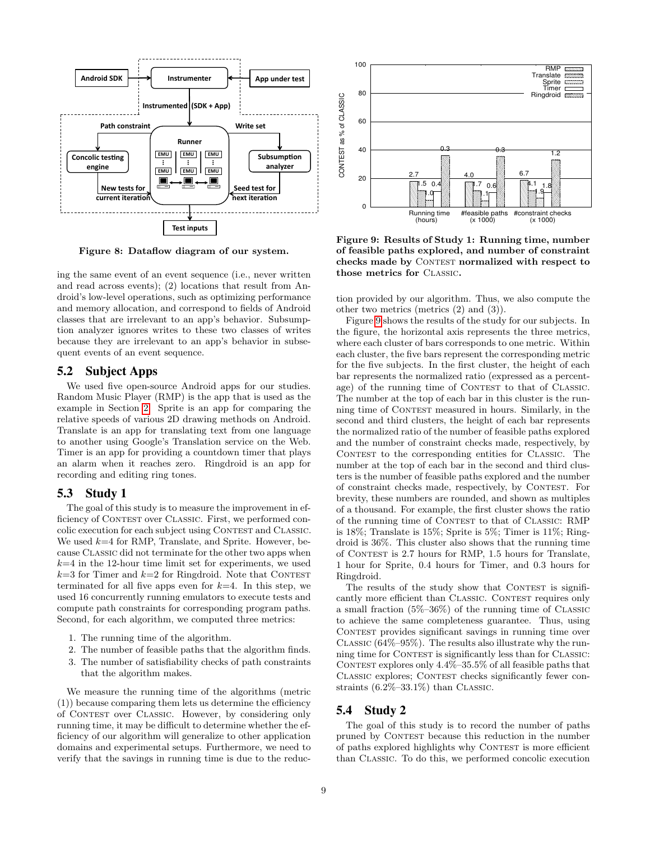

<span id="page-8-2"></span>Figure 8: Dataflow diagram of our system.

ing the same event of an event sequence (i.e., never written and read across events); (2) locations that result from Android's low-level operations, such as optimizing performance and memory allocation, and correspond to fields of Android classes that are irrelevant to an app's behavior. Subsumption analyzer ignores writes to these two classes of writes because they are irrelevant to an app's behavior in subsequent events of an event sequence.

## <span id="page-8-0"></span>5.2 Subject Apps

We used five open-source Android apps for our studies. Random Music Player (RMP) is the app that is used as the example in Section [2.](#page-1-5) Sprite is an app for comparing the relative speeds of various 2D drawing methods on Android. Translate is an app for translating text from one language to another using Google's Translation service on the Web. Timer is an app for providing a countdown timer that plays an alarm when it reaches zero. Ringdroid is an app for recording and editing ring tones.

#### 5.3 Study 1

The goal of this study is to measure the improvement in efficiency of CONTEST over CLASSIC. First, we performed concolic execution for each subject using CONTEST and CLASSIC. We used  $k=4$  for RMP, Translate, and Sprite. However, because Classic did not terminate for the other two apps when  $k=4$  in the 12-hour time limit set for experiments, we used  $k=3$  for Timer and  $k=2$  for Ringdroid. Note that CONTEST terminated for all five apps even for  $k=4$ . In this step, we used 16 concurrently running emulators to execute tests and compute path constraints for corresponding program paths. Second, for each algorithm, we computed three metrics:

- 1. The running time of the algorithm.
- 2. The number of feasible paths that the algorithm finds.
- 3. The number of satisfiability checks of path constraints that the algorithm makes.

We measure the running time of the algorithms (metric (1)) because comparing them lets us determine the efficiency of Contest over Classic. However, by considering only running time, it may be difficult to determine whether the efficiency of our algorithm will generalize to other application domains and experimental setups. Furthermore, we need to verify that the savings in running time is due to the reduc-



<span id="page-8-3"></span>Figure 9: Results of Study 1: Running time, number of feasible paths explored, and number of constraint checks made by CONTEST normalized with respect to those metrics for Classic.

tion provided by our algorithm. Thus, we also compute the other two metrics (metrics (2) and (3)).

Figure [9](#page-8-3) shows the results of the study for our subjects. In the figure, the horizontal axis represents the three metrics, where each cluster of bars corresponds to one metric. Within each cluster, the five bars represent the corresponding metric for the five subjects. In the first cluster, the height of each bar represents the normalized ratio (expressed as a percentage) of the running time of CONTEST to that of CLASSIC. The number at the top of each bar in this cluster is the running time of CONTEST measured in hours. Similarly, in the second and third clusters, the height of each bar represents the normalized ratio of the number of feasible paths explored and the number of constraint checks made, respectively, by CONTEST to the corresponding entities for CLASSIC. The number at the top of each bar in the second and third clusters is the number of feasible paths explored and the number of constraint checks made, respectively, by Contest. For brevity, these numbers are rounded, and shown as multiples of a thousand. For example, the first cluster shows the ratio of the running time of CONTEST to that of CLASSIC: RMP is 18%; Translate is 15%; Sprite is 5%; Timer is 11%; Ringdroid is 36%. This cluster also shows that the running time of Contest is 2.7 hours for RMP, 1.5 hours for Translate, 1 hour for Sprite, 0.4 hours for Timer, and 0.3 hours for Ringdroid.

The results of the study show that CONTEST is significantly more efficient than CLASSIC. CONTEST requires only a small fraction  $(5\% - 36\%)$  of the running time of CLASSIC to achieve the same completeness guarantee. Thus, using CONTEST provides significant savings in running time over CLASSIC  $(64\% - 95\%)$ . The results also illustrate why the running time for CONTEST is significantly less than for CLASSIC: CONTEST explores only  $4.4\%$ -35.5% of all feasible paths that CLASSIC explores; CONTEST checks significantly fewer constraints  $(6.2\% - 33.1\%)$  than CLASSIC.

## <span id="page-8-1"></span>5.4 Study 2

The goal of this study is to record the number of paths pruned by CONTEST because this reduction in the number of paths explored highlights why CONTEST is more efficient than Classic. To do this, we performed concolic execution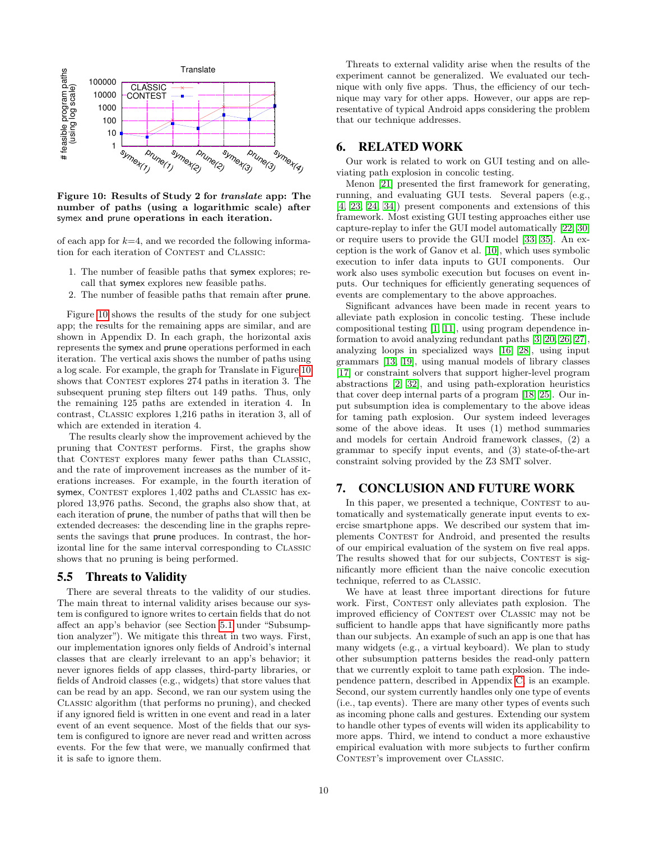

<span id="page-9-1"></span>Figure 10: Results of Study 2 for translate app: The number of paths (using a logarithmic scale) after symex and prune operations in each iteration.

of each app for  $k=4$ , and we recorded the following information for each iteration of CONTEST and CLASSIC:

- 1. The number of feasible paths that symex explores; recall that symex explores new feasible paths.
- 2. The number of feasible paths that remain after prune.

Figure [10](#page-9-1) shows the results of the study for one subject app; the results for the remaining apps are similar, and are shown in Appendix D. In each graph, the horizontal axis represents the symex and prune operations performed in each iteration. The vertical axis shows the number of paths using a log scale. For example, the graph for Translate in Figure [10](#page-9-1) shows that CONTEST explores 274 paths in iteration 3. The subsequent pruning step filters out 149 paths. Thus, only the remaining 125 paths are extended in iteration 4. In contrast, Classic explores 1,216 paths in iteration 3, all of which are extended in iteration 4.

The results clearly show the improvement achieved by the pruning that CONTEST performs. First, the graphs show that CONTEST explores many fewer paths than CLASSIC, and the rate of improvement increases as the number of iterations increases. For example, in the fourth iteration of symex, CONTEST explores  $1,402$  paths and CLASSIC has explored 13,976 paths. Second, the graphs also show that, at each iteration of prune, the number of paths that will then be extended decreases: the descending line in the graphs represents the savings that prune produces. In contrast, the horizontal line for the same interval corresponding to Classic shows that no pruning is being performed.

## <span id="page-9-0"></span>5.5 Threats to Validity

There are several threats to the validity of our studies. The main threat to internal validity arises because our system is configured to ignore writes to certain fields that do not affect an app's behavior (see Section [5.1](#page-7-1) under "Subsumption analyzer"). We mitigate this threat in two ways. First, our implementation ignores only fields of Android's internal classes that are clearly irrelevant to an app's behavior; it never ignores fields of app classes, third-party libraries, or fields of Android classes (e.g., widgets) that store values that can be read by an app. Second, we ran our system using the Classic algorithm (that performs no pruning), and checked if any ignored field is written in one event and read in a later event of an event sequence. Most of the fields that our system is configured to ignore are never read and written across events. For the few that were, we manually confirmed that it is safe to ignore them.

Threats to external validity arise when the results of the experiment cannot be generalized. We evaluated our technique with only five apps. Thus, the efficiency of our technique may vary for other apps. However, our apps are representative of typical Android apps considering the problem that our technique addresses.

## 6. RELATED WORK

Our work is related to work on GUI testing and on alleviating path explosion in concolic testing.

Menon [\[21\]](#page-10-21) presented the first framework for generating, running, and evaluating GUI tests. Several papers (e.g., [\[4,](#page-10-22) [23,](#page-10-23) [24,](#page-10-24) [34\]](#page-10-25)) present components and extensions of this framework. Most existing GUI testing approaches either use capture-replay to infer the GUI model automatically [\[22,](#page-10-3) [30\]](#page-10-4) or require users to provide the GUI model [\[33,](#page-10-5) [35\]](#page-10-6). An exception is the work of Ganov et al. [\[10\]](#page-10-26), which uses symbolic execution to infer data inputs to GUI components. Our work also uses symbolic execution but focuses on event inputs. Our techniques for efficiently generating sequences of events are complementary to the above approaches.

Significant advances have been made in recent years to alleviate path explosion in concolic testing. These include compositional testing [\[1,](#page-10-10) [11\]](#page-10-12), using program dependence information to avoid analyzing redundant paths [\[3,](#page-10-11) [20,](#page-10-16) [26,](#page-10-27) [27\]](#page-10-28), analyzing loops in specialized ways [\[16,](#page-10-14) [28\]](#page-10-17), using input grammars [\[13,](#page-10-13) [19\]](#page-10-29), using manual models of library classes [\[17\]](#page-10-30) or constraint solvers that support higher-level program abstractions [\[2,](#page-10-31) [32\]](#page-10-32), and using path-exploration heuristics that cover deep internal parts of a program [\[18,](#page-10-15) [25\]](#page-10-33). Our input subsumption idea is complementary to the above ideas for taming path explosion. Our system indeed leverages some of the above ideas. It uses (1) method summaries and models for certain Android framework classes, (2) a grammar to specify input events, and (3) state-of-the-art constraint solving provided by the Z3 SMT solver.

## 7. CONCLUSION AND FUTURE WORK

In this paper, we presented a technique, CONTEST to automatically and systematically generate input events to exercise smartphone apps. We described our system that implements CONTEST for Android, and presented the results of our empirical evaluation of the system on five real apps. The results showed that for our subjects, CONTEST is significantly more efficient than the naive concolic execution technique, referred to as Classic.

We have at least three important directions for future work. First, CONTEST only alleviates path explosion. The improved efficiency of CONTEST over CLASSIC may not be sufficient to handle apps that have significantly more paths than our subjects. An example of such an app is one that has many widgets (e.g., a virtual keyboard). We plan to study other subsumption patterns besides the read-only pattern that we currently exploit to tame path explosion. The independence pattern, described in Appendix [C,](#page-13-0) is an example. Second, our system currently handles only one type of events (i.e., tap events). There are many other types of events such as incoming phone calls and gestures. Extending our system to handle other types of events will widen its applicability to more apps. Third, we intend to conduct a more exhaustive empirical evaluation with more subjects to further confirm CONTEST's improvement over CLASSIC.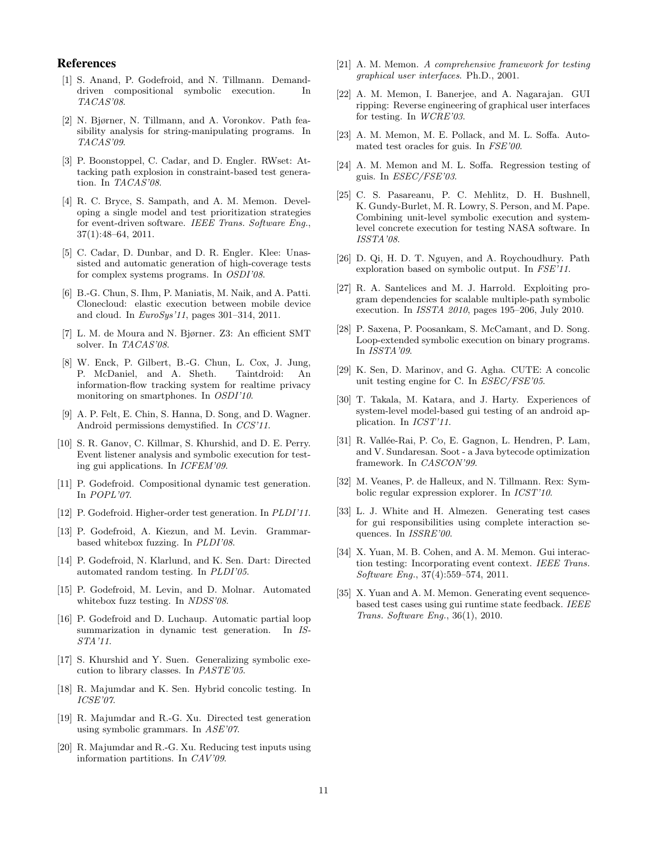## References

- <span id="page-10-10"></span>[1] S. Anand, P. Godefroid, and N. Tillmann. Demanddriven compositional symbolic execution. In TACAS'08.
- <span id="page-10-31"></span>[2] N. Bjørner, N. Tillmann, and A. Voronkov. Path feasibility analysis for string-manipulating programs. In TACAS'09.
- <span id="page-10-11"></span>[3] P. Boonstoppel, C. Cadar, and D. Engler. RWset: Attacking path explosion in constraint-based test generation. In TACAS'08.
- <span id="page-10-22"></span>[4] R. C. Bryce, S. Sampath, and A. M. Memon. Developing a single model and test prioritization strategies for event-driven software. IEEE Trans. Software Eng., 37(1):48–64, 2011.
- <span id="page-10-7"></span>[5] C. Cadar, D. Dunbar, and D. R. Engler. Klee: Unassisted and automatic generation of high-coverage tests for complex systems programs. In OSDI'08.
- <span id="page-10-0"></span>[6] B.-G. Chun, S. Ihm, P. Maniatis, M. Naik, and A. Patti. Clonecloud: elastic execution between mobile device and cloud. In EuroSys'11, pages 301–314, 2011.
- <span id="page-10-19"></span>[7] L. M. de Moura and N. Bjørner. Z3: An efficient SMT solver. In TACAS'08.
- <span id="page-10-1"></span>[8] W. Enck, P. Gilbert, B.-G. Chun, L. Cox, J. Jung, P. McDaniel, and A. Sheth. Taintdroid: An information-flow tracking system for realtime privacy monitoring on smartphones. In OSDI'10.
- <span id="page-10-2"></span>[9] A. P. Felt, E. Chin, S. Hanna, D. Song, and D. Wagner. Android permissions demystified. In CCS'11.
- <span id="page-10-26"></span>[10] S. R. Ganov, C. Killmar, S. Khurshid, and D. E. Perry. Event listener analysis and symbolic execution for testing gui applications. In ICFEM'09.
- <span id="page-10-12"></span>[11] P. Godefroid. Compositional dynamic test generation. In POPL'07.
- [12] P. Godefroid. Higher-order test generation. In *PLDI'11*.
- <span id="page-10-13"></span>[13] P. Godefroid, A. Kiezun, and M. Levin. Grammarbased whitebox fuzzing. In PLDI'08.
- <span id="page-10-8"></span>[14] P. Godefroid, N. Klarlund, and K. Sen. Dart: Directed automated random testing. In PLDI'05.
- <span id="page-10-18"></span>[15] P. Godefroid, M. Levin, and D. Molnar. Automated whitebox fuzz testing. In NDSS'08.
- <span id="page-10-14"></span>[16] P. Godefroid and D. Luchaup. Automatic partial loop summarization in dynamic test generation. In IS-STA'11.
- <span id="page-10-30"></span>[17] S. Khurshid and Y. Suen. Generalizing symbolic execution to library classes. In PASTE'05.
- <span id="page-10-15"></span>[18] R. Majumdar and K. Sen. Hybrid concolic testing. In ICSE'07.
- <span id="page-10-29"></span>[19] R. Majumdar and R.-G. Xu. Directed test generation using symbolic grammars. In ASE'07.
- <span id="page-10-16"></span>[20] R. Majumdar and R.-G. Xu. Reducing test inputs using information partitions. In CAV'09.
- <span id="page-10-21"></span>[21] A. M. Memon. A comprehensive framework for testing graphical user interfaces. Ph.D., 2001.
- <span id="page-10-3"></span>[22] A. M. Memon, I. Banerjee, and A. Nagarajan. GUI ripping: Reverse engineering of graphical user interfaces for testing. In WCRE'03.
- <span id="page-10-23"></span>[23] A. M. Memon, M. E. Pollack, and M. L. Soffa. Automated test oracles for guis. In FSE'00.
- <span id="page-10-24"></span>[24] A. M. Memon and M. L. Soffa. Regression testing of guis. In ESEC/FSE'03.
- <span id="page-10-33"></span>[25] C. S. Pasareanu, P. C. Mehlitz, D. H. Bushnell, K. Gundy-Burlet, M. R. Lowry, S. Person, and M. Pape. Combining unit-level symbolic execution and systemlevel concrete execution for testing NASA software. In ISSTA'08.
- <span id="page-10-27"></span>[26] D. Qi, H. D. T. Nguyen, and A. Roychoudhury. Path exploration based on symbolic output. In FSE'11.
- <span id="page-10-28"></span>[27] R. A. Santelices and M. J. Harrold. Exploiting program dependencies for scalable multiple-path symbolic execution. In ISSTA 2010, pages 195–206, July 2010.
- <span id="page-10-17"></span>[28] P. Saxena, P. Poosankam, S. McCamant, and D. Song. Loop-extended symbolic execution on binary programs. In ISSTA'09.
- <span id="page-10-9"></span>[29] K. Sen, D. Marinov, and G. Agha. CUTE: A concolic unit testing engine for C. In ESEC/FSE'05.
- <span id="page-10-4"></span>[30] T. Takala, M. Katara, and J. Harty. Experiences of system-level model-based gui testing of an android application. In ICST'11.
- <span id="page-10-20"></span>[31] R. Vallée-Rai, P. Co, E. Gagnon, L. Hendren, P. Lam, and V. Sundaresan. Soot - a Java bytecode optimization framework. In CASCON'99.
- <span id="page-10-32"></span>[32] M. Veanes, P. de Halleux, and N. Tillmann. Rex: Symbolic regular expression explorer. In ICST'10.
- <span id="page-10-5"></span>[33] L. J. White and H. Almezen. Generating test cases for gui responsibilities using complete interaction sequences. In ISSRE'00.
- <span id="page-10-25"></span>[34] X. Yuan, M. B. Cohen, and A. M. Memon. Gui interaction testing: Incorporating event context. IEEE Trans. Software Eng., 37(4):559–574, 2011.
- <span id="page-10-6"></span>[35] X. Yuan and A. M. Memon. Generating event sequencebased test cases using gui runtime state feedback. IEEE Trans. Software Eng., 36(1), 2010.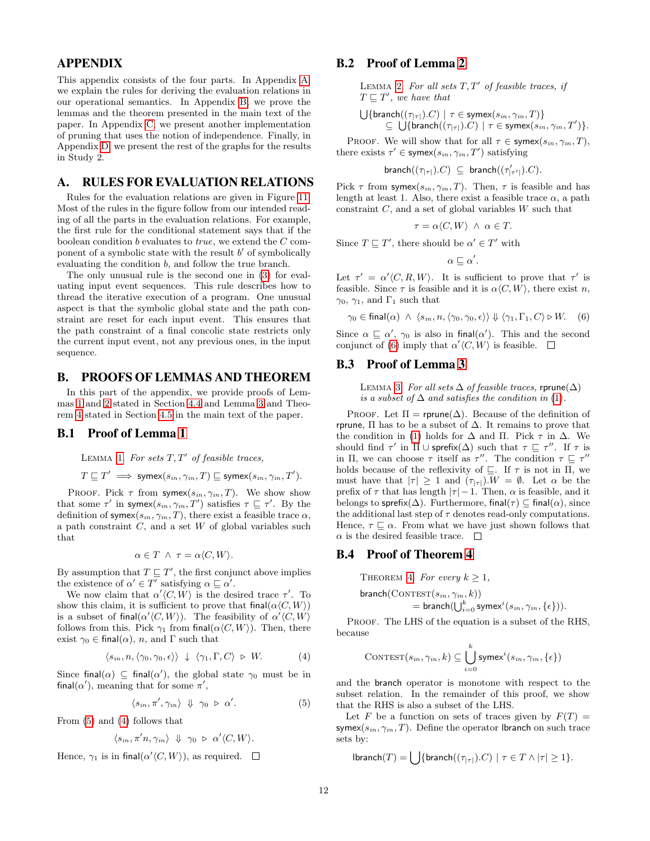# APPENDIX

This appendix consists of the four parts. In Appendix [A,](#page-11-0) we explain the rules for deriving the evaluation relations in our operational semantics. In Appendix [B,](#page-11-1) we prove the lemmas and the theorem presented in the main text of the paper. In Appendix [C,](#page-13-0) we present another implementation of pruning that uses the notion of independence. Finally, in Appendix [D,](#page-13-1) we present the rest of the graphs for the results in Study 2.

## <span id="page-11-0"></span>A. RULES FOR EVALUATION RELATIONS

Rules for the evaluation relations are given in Figure [11.](#page-12-0) Most of the rules in the figure follow from our intended reading of all the parts in the evaluation relations. For example, the first rule for the conditional statement says that if the boolean condition b evaluates to true, we extend the C component of a symbolic state with the result  $b'$  of symbolically evaluating the condition b, and follow the true branch.

The only unusual rule is the second one in [\(3\)](#page-12-1) for evaluating input event sequences. This rule describes how to thread the iterative execution of a program. One unusual aspect is that the symbolic global state and the path constraint are reset for each input event. This ensures that the path constraint of a final concolic state restricts only the current input event, not any previous ones, in the input sequence.

## <span id="page-11-1"></span>B. PROOFS OF LEMMAS AND THEOREM

In this part of the appendix, we provide proofs of Lemmas [1](#page-6-3) and [2](#page-6-4) stated in Section [4.4](#page-6-0) and Lemma [3](#page-6-8) and Theorem [4](#page-7-2) stated in Section [4.5](#page-6-1) in the main text of the paper.

## B.1 Proof of Lemma [1](#page-6-3)

LEMMA [1.](#page-6-3) For sets  $T, T'$  of feasible traces,

$$
T \sqsubseteq T' \implies \mathsf{symex}(s_{in}, \gamma_{in}, T) \sqsubseteq \mathsf{symex}(s_{in}, \gamma_{in}, T').
$$

PROOF. Pick  $\tau$  from symex $(s_{in}, \gamma_{in}, T)$ . We show show that some  $\tau'$  in symex $(s_{in}, \gamma_{in}, T')$  satisfies  $\tau \subseteq \tau'$ . By the definition of symex( $s_{in}$ ,  $\gamma_{in}$ , T), there exist a feasible trace  $\alpha$ , a path constraint  $C$ , and a set  $W$  of global variables such that

$$
\alpha \in T \ \land \ \tau = \alpha \langle C, W \rangle.
$$

By assumption that  $T \sqsubseteq T'$ , the first conjunct above implies the existence of  $\alpha' \in T'$  satisfying  $\alpha \sqsubseteq \alpha'$ .

We now claim that  $\alpha'(C, W)$  is the desired trace  $\tau'$ . To show this claim, it is sufficient to prove that  $\text{final}(\alpha\langle C, W \rangle)$ is a subset of final $(\alpha'(C, W))$ . The feasibility of  $\alpha'(C, W)$ follows from this. Pick  $\gamma_1$  from final( $\alpha\langle C, W \rangle$ ). Then, there exist  $\gamma_0 \in \text{final}(\alpha)$ , n, and  $\Gamma$  such that

<span id="page-11-3"></span>
$$
\langle s_{in}, n, \langle \gamma_0, \gamma_0, \epsilon \rangle \rangle \downarrow \langle \gamma_1, \Gamma, C \rangle \triangleright W. \tag{4}
$$

Since final( $\alpha$ )  $\subseteq$  final( $\alpha'$ ), the global state  $\gamma_0$  must be in final( $\alpha'$ ), meaning that for some  $\pi'$ ,

<span id="page-11-2"></span>
$$
\langle s_{in}, \pi', \gamma_{in} \rangle \Downarrow \gamma_0 \triangleright \alpha'. \tag{5}
$$

From [\(5\)](#page-11-2) and [\(4\)](#page-11-3) follows that

$$
\langle s_{in}, \pi' n, \gamma_{in} \rangle \Downarrow \gamma_0 \supset \alpha' \langle C, W \rangle.
$$

Hence,  $\gamma_1$  is in final( $\alpha'(C, W)$ ), as required.

## B.2 Proof of Lemma [2](#page-6-4)

LEMMA [2.](#page-6-4) For all sets  $T, T'$  of feasible traces, if  $T \sqsubseteq T'$ , we have that

$$
\bigcup \{\text{branch}((\tau_{|\tau|}).C) \mid \tau \in \text{symex}(s_{in}, \gamma_{in}, T)\}\
$$
  

$$
\subseteq \bigcup \{\text{branch}((\tau_{|\tau|}).C) \mid \tau \in \text{symex}(s_{in}, \gamma_{in}, T')\}.
$$

PROOF. We will show that for all  $\tau \in \text{symex}(s_{in}, \gamma_{in}, T)$ , there exists  $\tau' \in \text{symex}(s_{in}, \gamma_{in}, T')$  satisfying

$$
\operatorname{branch}((\tau_{|\tau|}).C) \subseteq \operatorname{branch}((\tau'_{|\tau'|}).C).
$$

Pick  $\tau$  from symex( $s_{in}$ ,  $\gamma_{in}$ , T). Then,  $\tau$  is feasible and has length at least 1. Also, there exist a feasible trace  $\alpha$ , a path constraint  $C$ , and a set of global variables  $W$  such that

$$
\tau = \alpha \langle C, W \rangle \ \land \ \alpha \in T.
$$

Since  $T \sqsubseteq T'$ , there should be  $\alpha' \in T'$  with

$$
\alpha \sqsubseteq \alpha'.
$$

Let  $\tau' = \alpha' \langle C, R, W \rangle$ . It is sufficient to prove that  $\tau'$  is feasible. Since  $\tau$  is feasible and it is  $\alpha\langle C, W \rangle$ , there exist n,  $\gamma_0$ ,  $\gamma_1$ , and  $\Gamma_1$  such that

<span id="page-11-4"></span>
$$
\gamma_0 \in \text{final}(\alpha) \ \land \ \langle s_{in}, n, \langle \gamma_0, \gamma_0, \epsilon \rangle \rangle \Downarrow \langle \gamma_1, \Gamma_1, C \rangle \triangleright W. \tag{6}
$$

Since  $\alpha \sqsubseteq \alpha'$ ,  $\gamma_0$  is also in final( $\alpha'$ ). This and the second conjunct of [\(6\)](#page-11-4) imply that  $\alpha' \langle C, W \rangle$  is feasible.

## B.3 Proof of Lemma [3](#page-6-8)

LEMMA [3.](#page-6-8) For all sets  $\Delta$  of feasible traces, rprune( $\Delta$ ) is a subset of  $\Delta$  and satisfies the condition in [\(1\)](#page-6-7).

PROOF. Let  $\Pi$  = rprune( $\Delta$ ). Because of the definition of rprune,  $\Pi$  has to be a subset of  $\Delta$ . It remains to prove that the condition in [\(1\)](#page-6-7) holds for  $\Delta$  and Π. Pick  $\tau$  in  $\Delta$ . We should find  $\tau'$  in  $\Pi \cup \mathsf{sprefix}(\Delta)$  such that  $\tau \sqsubseteq \tau''$ . If  $\tau$  is in Π, we can choose  $\tau$  itself as  $\tau''$ . The condition  $\tau \subseteq \tau''$ holds because of the reflexivity of  $\subseteq$ . If  $\tau$  is not in  $\Pi$ , we must have that  $|\tau| \geq 1$  and  $(\tau_{|\tau|})W = \emptyset$ . Let  $\alpha$  be the prefix of  $\tau$  that has length  $|\tau| - 1$ . Then,  $\alpha$  is feasible, and it belongs to sprefix( $\Delta$ ). Furthermore, final( $\tau$ )  $\subseteq$  final( $\alpha$ ), since the additional last step of  $\tau$  denotes read-only computations. Hence,  $\tau \sqsubseteq \alpha$ . From what we have just shown follows that  $\alpha$  is the desired feasible trace.  $\Box$ 

## B.4 Proof of Theorem [4](#page-7-2)

THEOREM [4.](#page-7-2) For every  $k \geq 1$ ,

$$
\begin{aligned} \text{branch}(\text{CONTEST}(s_{in}, \gamma_{in}, k)) \\ &= \text{branch}(\bigcup_{i=0}^k \text{symex}^i(s_{in}, \gamma_{in}, \{\epsilon\})). \end{aligned}
$$

PROOF. The LHS of the equation is a subset of the RHS, because

$$
\text{CONTEST}(s_{in},\gamma_{in},k) \subseteq \bigcup_{i=0}^{k} \mathsf{symex}^{i}(s_{in},\gamma_{in},\{\epsilon\})
$$

and the branch operator is monotone with respect to the subset relation. In the remainder of this proof, we show that the RHS is also a subset of the LHS.

Let F be a function on sets of traces given by  $F(T) =$ symex( $s_{in}$ ,  $\gamma_{in}$ , T). Define the operator lbranch on such trace sets by:

$$
\mathsf{Ibranch}(T) = \bigcup \{\mathsf{branch}((\tau_{|\tau|}).C) \mid \tau \in T \land |\tau| \ge 1\}.
$$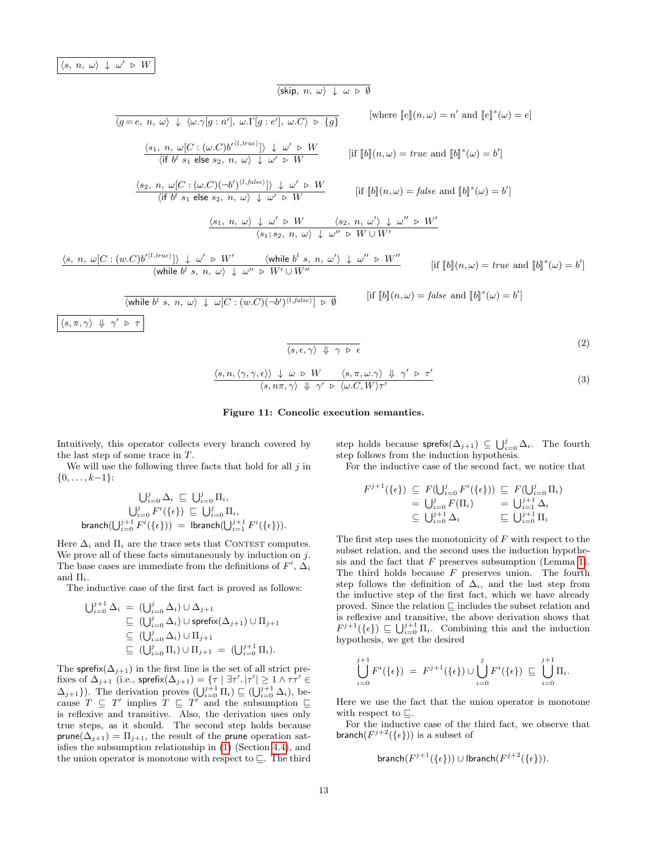#### $\langle$ skip,  $n, \omega \rangle \downarrow \omega > \emptyset$

$$
\frac{\langle g=e, n, \omega \rangle \downarrow \langle \omega, \gamma[g : n'], \omega. \Gamma[g : e'], \omega. C \rangle \triangleright \{g\} \qquad [\text{where } [\![e]\!](n, \omega) = n' \text{ and } [\![e]\!]^s(\omega) = e]}{\langle s_1, n, \omega[C : (\omega. C)b^{\prime(l, true)}] \rangle \downarrow \omega' \triangleright W} \qquad [\text{if } [\![b]\!](n, \omega) = \text{true and } [\![b]\!]^s(\omega) = b']
$$
\n
$$
\frac{\langle s_2, n, \omega[C : (\omega. C)(\neg b)^{\langle l, \text{false} \rangle}] \rangle \downarrow \omega' \triangleright W}{\langle \text{if } b^l s_1 \text{ else } s_2, n, \omega \rangle \downarrow \omega' \triangleright W} \qquad [\text{if } [\![b]\!](n, \omega) = \text{false and } [\![b]\!]^s(\omega) = b']
$$
\n
$$
\frac{\langle s_1, n, \omega \rangle \downarrow \omega' \triangleright W}{\langle s_1, s_2, n, \omega \rangle \downarrow \omega' \triangleright W} \qquad [\text{if } [\![b]\!](n, \omega) = \text{false and } [\![b]\!]^s(\omega) = b']
$$
\n
$$
\frac{\langle s_1, n, \omega \rangle \downarrow \omega' \triangleright W}{\langle s_1, s_2, n, \omega \rangle \downarrow \omega'' \triangleright W \cup W' \rangle}
$$
\n
$$
\frac{\langle s_1, n, \omega[C : (\neg c) b^{\prime(l, true)}] \rangle \downarrow \omega' \triangleright W'}}{\langle \text{while } b^l s, n, \omega \rangle \downarrow \omega'' \triangleright W' \cup W''} \qquad [\text{if } [\![b]\!](n, \omega) = \text{true and } [\![b]\!]^s(\omega) = b']
$$
\n
$$
\frac{\langle s_1, n, \omega \rangle \downarrow \omega[C : (\neg cC)(\neg b^{\prime})^{\langle l, \text{false} \rangle}] \triangleright \emptyset}{\langle s_1, s_2, \gamma \rangle \downarrow \gamma \triangleright \epsilon} \qquad [\text{if } [\![b]\!](n, \omega) = \text{false and } [\![b]\!]^s(\omega) = b']
$$
\n
$$
\frac{\langle s_1, n, \omega \rangle \downarrow \omega[C : (\
$$

#### <span id="page-12-1"></span><span id="page-12-0"></span>Figure 11: Concolic execution semantics.

Intuitively, this operator collects every branch covered by the last step of some trace in T.

We will use the following three facts that hold for all  $j$  in  $\{0, \ldots, k-1\}$ :

$$
\begin{array}{rl} \bigcup_{i=0}^j \Delta_i \;\sqsubseteq \;\bigcup_{i=0}^j \Pi_i, \\ \bigcup_{i=0}^j F^i(\{\epsilon\}) \;\sqsubseteq \;\bigcup_{i=0}^j \Pi_i, \\ \text{branch}(\bigcup_{i=0}^{j+1} F^i(\{\epsilon\})) \;=\; \text{lbranch}(\bigcup_{i=1}^{j+1} F^i(\{\epsilon\})).\end{array}
$$

Here  $\Delta_i$  and  $\Pi_i$  are the trace sets that CONTEST computes. We prove all of these facts simulaneously by induction on  $j$ . The base cases are immediate from the definitions of  $F^i$ ,  $\Delta_i$ and  $\Pi_i$ .

The inductive case of the first fact is proved as follows:

$$
\bigcup_{i=0}^{j+1} \Delta_i = (\bigcup_{i=0}^{j} \Delta_i) \cup \Delta_{j+1}
$$
  
\n
$$
\subseteq (\bigcup_{i=0}^{j} \Delta_i) \cup \text{sprefix}(\Delta_{j+1}) \cup \Pi_{j+1}
$$
  
\n
$$
\subseteq (\bigcup_{i=0}^{j} \Delta_i) \cup \Pi_{j+1}
$$
  
\n
$$
\subseteq (\bigcup_{i=0}^{j} \Pi_i) \cup \Pi_{j+1} = (\bigcup_{i=0}^{j+1} \Pi_i).
$$

The sprefix( $\Delta_{j+1}$ ) in the first line is the set of all strict prefixes of  $\Delta_{j+1}$  (i.e., sprefix $(\Delta_{j+1}) = {\tau | \exists \tau'.|\tau'| \geq 1 \land \tau \tau' \in \mathbb{R}}$  $(\bigcup_{i=0}^{j+1} \Pi_i) \sqsubseteq (\bigcup_{i=0}^{j+1} \Pi_i) \sqsubseteq (\bigcup_{i=0}^{j+1} \Delta_i)$ , because  $T \subseteq T'$  implies  $T \subseteq T'$  and the subsumption  $\subseteq$ is reflexive and transitive. Also, the derivation uses only true steps, as it should. The second step holds because  $prune(\Delta_{j+1}) = \Pi_{j+1}$ , the result of the prune operation satisfies the subsumption relationship in [\(1\)](#page-6-7) (Section [4.4\)](#page-6-0), and the union operator is monotone with respect to  $\subseteq$ . The third

step holds because sprefix $(\Delta_{j+1}) \subseteq \bigcup_{i=0}^{j} \Delta_i$ . The fourth step follows from the induction hypothesis.

For the inductive case of the second fact, we notice that

$$
F^{j+1}(\{\epsilon\}) \subseteq F(\bigcup_{i=0}^{j} F^{i}(\{\epsilon\})) \subseteq F(\bigcup_{i=0}^{j} \Pi_{i})
$$
  
= 
$$
\bigcup_{i=0}^{j} F(\Pi_{i}) = \bigcup_{i=1}^{j+1} \Delta_{i}
$$
  

$$
\subseteq \bigcup_{i=0}^{j+1} \Delta_{i} \subseteq \bigcup_{i=0}^{j+1} \Pi_{i}
$$

The first step uses the monotonicity of  $F$  with respect to the subset relation, and the second uses the induction hypothesis and the fact that  $F$  preserves subsumption (Lemma [1\)](#page-6-3). The third holds because  $F$  preserves union. The fourth step follows the definition of  $\Delta_i$ , and the last step from the inductive step of the first fact, which we have already proved. Since the relation  $\sqsubseteq$  includes the subset relation and is reflexive and transitive, the above derivation shows that  $F^{j+1}(\{\epsilon\}) \sqsubseteq \bigcup_{i=0}^{j+1} \Pi_i$ . Combining this and the induction hypothesis, we get the desired

$$
\bigcup_{i=0}^{j+1} F^i(\{\epsilon\}) = F^{j+1}(\{\epsilon\}) \cup \bigcup_{i=0}^{j} F^i(\{\epsilon\}) \sqsubseteq \bigcup_{i=0}^{j+1} \Pi_i.
$$

Here we use the fact that the union operator is monotone with respect to  $\sqsubseteq.$ 

For the inductive case of the third fact, we observe that branch $(F^{j+2}(\{\epsilon\}))$  is a subset of

$$
{\sf branch}(F^{j+1}(\{\epsilon\})) \cup {\sf Ibranch}(F^{j+2}(\{\epsilon\})).
$$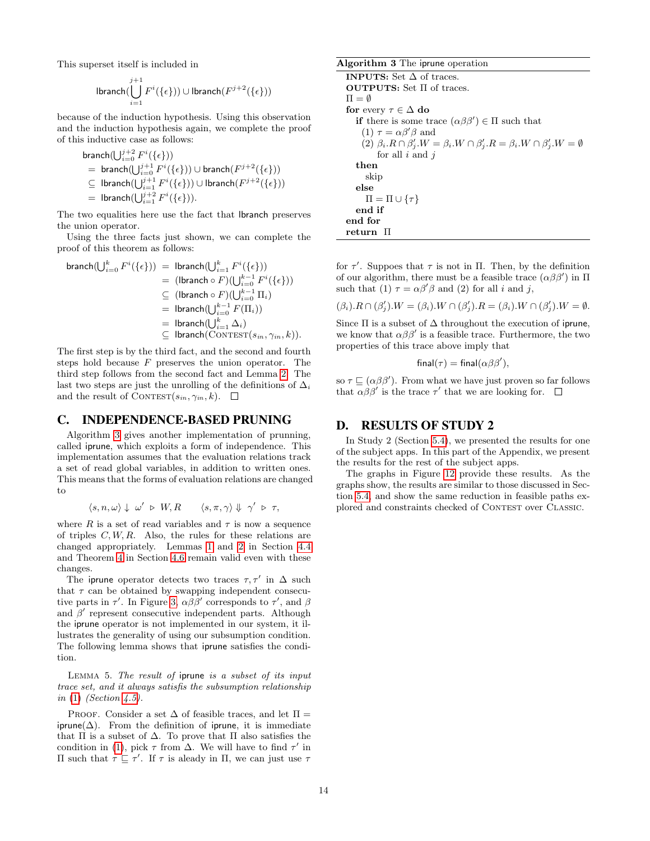This superset itself is included in

$$
\mathsf{Ibranch}(\bigcup_{i=1}^{j+1}F^i(\{\epsilon\}))\cup\mathsf{Ibranch}(F^{j+2}(\{\epsilon\}))
$$

because of the induction hypothesis. Using this observation and the induction hypothesis again, we complete the proof of this inductive case as follows:

$$
\begin{array}{ll}\text{branch}(\bigcup_{i=0}^{j+2}F^i(\{\epsilon\}))\\&=&\text{branch}(\bigcup_{i=0}^{j+1}F^i(\{\epsilon\}))\cup\text{branch}(F^{j+2}(\{\epsilon\}))\\ &\subseteq&\text{lbranch}(\bigcup_{i=1}^{j+1}F^i(\{\epsilon\}))\cup\text{lbranch}(F^{j+2}(\{\epsilon\}))\\ &=&\text{lbranch}(\bigcup_{i=1}^{j+2}F^i(\{\epsilon\})).\end{array}
$$

The two equalities here use the fact that lbranch preserves the union operator.

Using the three facts just shown, we can complete the proof of this theorem as follows:

$$
\begin{array}{rcl} \mathsf{branch}(\bigcup_{i=0}^k F^i(\{\epsilon\})) & = & \mathsf{Ibranch}(\bigcup_{i=1}^k F^i(\{\epsilon\})) \\ & = & (\mathsf{Ibranch} \circ F)(\bigcup_{i=0}^{k-1} F^i(\{\epsilon\})) \\ & \subseteq & (\mathsf{Ibranch} \circ F)(\bigcup_{i=0}^{k-1} \Pi_i) \\ & = & \mathsf{Ibranch}(\bigcup_{i=0}^{k-1} F(\Pi_i)) \\ & = & \mathsf{Ibranch}(\bigcup_{i=1}^k \Delta_i) \\ & \subseteq & \mathsf{Ibranch}(\mathsf{CONTEST}(s_{in}, \gamma_{in}, k)). \end{array}
$$

The first step is by the third fact, and the second and fourth steps hold because  $F$  preserves the union operator. The third step follows from the second fact and Lemma [2.](#page-6-4) The last two steps are just the unrolling of the definitions of  $\Delta_i$ and the result of  $CONFEST(s_{in}, \gamma_{in}, k)$ .  $\Box$ 

# <span id="page-13-0"></span>C. INDEPENDENCE-BASED PRUNING

Algorithm [3](#page-13-2) gives another implementation of prunning, called iprune, which exploits a form of independence. This implementation assumes that the evaluation relations track a set of read global variables, in addition to written ones. This means that the forms of evaluation relations are changed to

$$
\langle s, n, \omega \rangle \downarrow \omega' \supset W, R \qquad \langle s, \pi, \gamma \rangle \Downarrow \gamma' \supset \tau,
$$

where R is a set of read variables and  $\tau$  is now a sequence of triples  $C, W, R$ . Also, the rules for these relations are changed appropriately. Lemmas [1](#page-6-3) and [2](#page-6-4) in Section [4.4](#page-6-0) and Theorem [4](#page-7-2) in Section [4.6](#page-7-0) remain valid even with these changes.

The iprune operator detects two traces  $\tau$ ,  $\tau'$  in  $\Delta$  such that  $\tau$  can be obtained by swapping independent consecutive parts in  $\tau'$ . In Figure [3,](#page-13-2)  $\alpha\beta\beta'$  corresponds to  $\tau'$ , and  $\beta$ and  $\beta'$  represent consecutive independent parts. Although the iprune operator is not implemented in our system, it illustrates the generality of using our subsumption condition. The following lemma shows that iprune satisfies the condition.

Lemma 5. The result of iprune is a subset of its input trace set, and it always satisfis the subsumption relationship in  $(1)$  (Section [4.5\)](#page-6-1).

PROOF. Consider a set  $\Delta$  of feasible traces, and let  $\Pi =$ iprune( $\Delta$ ). From the definition of iprune, it is immediate that  $\Pi$  is a subset of  $\Delta$ . To prove that  $\Pi$  also satisfies the condition in [\(1\)](#page-6-7), pick  $\tau$  from  $\Delta$ . We will have to find  $\tau'$  in Π such that  $\tau \subseteq \tau'$ . If  $\tau$  is aleady in Π, we can just use  $\tau$ 

## <span id="page-13-2"></span>Algorithm 3 The iprune operation **INPUTS:** Set  $\Delta$  of traces. OUTPUTS: Set Π of traces.  $\Pi = \emptyset$ for every  $\tau \in \Delta$  do **if** there is some trace  $(\alpha \beta \beta') \in \Pi$  such that (1)  $\tau = \alpha \beta' \beta$  and (2)  $\beta_i \cdot R \cap \beta'_j \cdot W = \beta_i \cdot W \cap \beta'_j \cdot R = \beta_i \cdot W \cap \beta'_j \cdot W = \emptyset$ for all  $i$  and  $j$ then skip else  $\Pi = \Pi \cup \{\tau\}$ end if end for return Π

for  $\tau'$ . Suppoes that  $\tau$  is not in  $\Pi$ . Then, by the definition of our algorithm, there must be a feasible trace  $(\alpha \beta \beta')$  in  $\Pi$ such that (1)  $\tau = \alpha \beta' \beta$  and (2) for all i and j,

$$
(\beta_i).R \cap (\beta'_j).W = (\beta_i).W \cap (\beta'_j).R = (\beta_i).W \cap (\beta'_j).W = \emptyset.
$$

Since  $\Pi$  is a subset of  $\Delta$  throughout the execution of iprune, we know that  $\alpha\beta\beta'$  is a feasible trace. Furthermore, the two properties of this trace above imply that

$$
final(\tau) = final(\alpha \beta \beta'),
$$

so  $\tau \sqsubseteq (\alpha \beta \beta')$ . From what we have just proven so far follows that  $\alpha\beta\beta'$  is the trace  $\tau'$  that we are looking for.

# <span id="page-13-1"></span>D. RESULTS OF STUDY 2

In Study 2 (Section [5.4\)](#page-8-1), we presented the results for one of the subject apps. In this part of the Appendix, we present the results for the rest of the subject apps.

The graphs in Figure [12](#page-14-0) provide these results. As the graphs show, the results are similar to those discussed in Section [5.4,](#page-8-1) and show the same reduction in feasible paths explored and constraints checked of CONTEST over CLASSIC.